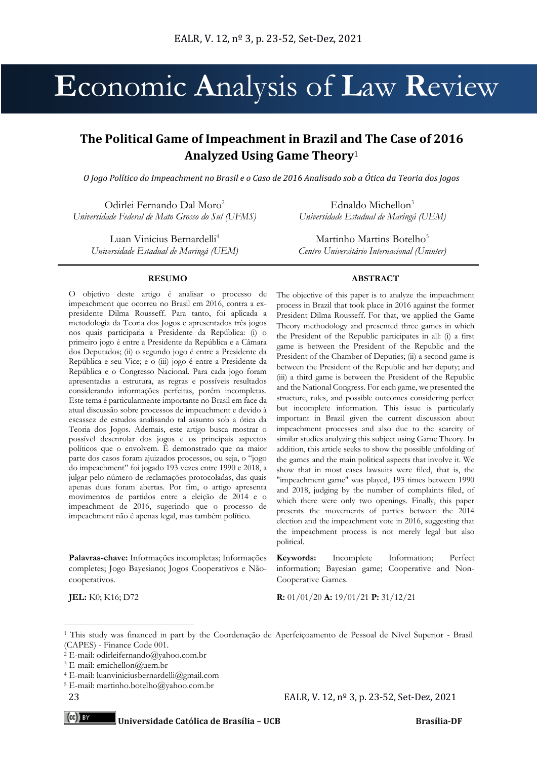# **E**conomic **A**nalysis of **L**aw **R**eview

# **The Political Game of Impeachment in Brazil and The Case of 2016 Analyzed Using Game Theory**<sup>1</sup>

*O Jogo Político do Impeachment no Brasil e o Caso de 2016 Analisado sob a Ótica da Teoria dos Jogos*

Odirlei Fernando Dal Moro<sup>2</sup> *Universidade Federal de Mato Grosso do Sul (UFMS)* 

Luan Vinicius Bernardelli<sup>4</sup> *Universidade Estadual de Maringá (UEM)* 

#### **RESUMO**

O objetivo deste artigo é analisar o processo de impeachment que ocorreu no Brasil em 2016, contra a expresidente Dilma Rousseff. Para tanto, foi aplicada a metodologia da Teoria dos Jogos e apresentados três jogos nos quais participaria a Presidente da República: (i) o primeiro jogo é entre a Presidente da República e a Câmara dos Deputados; (ii) o segundo jogo é entre a Presidente da República e seu Vice; e o (iii) jogo é entre a Presidente da República e o Congresso Nacional. Para cada jogo foram apresentadas a estrutura, as regras e possíveis resultados considerando informações perfeitas, porém incompletas. Este tema é particularmente importante no Brasil em face da atual discussão sobre processos de impeachment e devido à escassez de estudos analisando tal assunto sob a ótica da Teoria dos Jogos. Ademais, este artigo busca mostrar o possível desenrolar dos jogos e os principais aspectos políticos que o envolvem. É demonstrado que na maior parte dos casos foram ajuizados processos, ou seja, o "jogo do impeachment" foi jogado 193 vezes entre 1990 e 2018, a julgar pelo número de reclamações protocoladas, das quais apenas duas foram abertas. Por fim, o artigo apresenta movimentos de partidos entre a eleição de 2014 e o impeachment de 2016, sugerindo que o processo de impeachment não é apenas legal, mas também político.

**Palavras-chave:** Informações incompletas; Informações completes; Jogo Bayesiano; Jogos Cooperativos e Nãocooperativos.

Ednaldo Michellon $3$ *Universidade Estadual de Maringá (UEM)*

Martinho Martins Botelho<sup>5</sup> *Centro Universitário Internacional (Uninter)*

#### **ABSTRACT**

The objective of this paper is to analyze the impeachment process in Brazil that took place in 2016 against the former President Dilma Rousseff. For that, we applied the Game Theory methodology and presented three games in which the President of the Republic participates in all: (i) a first game is between the President of the Republic and the President of the Chamber of Deputies; (ii) a second game is between the President of the Republic and her deputy; and (iii) a third game is between the President of the Republic and the National Congress. For each game, we presented the structure, rules, and possible outcomes considering perfect but incomplete information. This issue is particularly important in Brazil given the current discussion about impeachment processes and also due to the scarcity of similar studies analyzing this subject using Game Theory. In addition, this article seeks to show the possible unfolding of the games and the main political aspects that involve it. We show that in most cases lawsuits were filed, that is, the "impeachment game" was played, 193 times between 1990 and 2018, judging by the number of complaints filed, of which there were only two openings. Finally, this paper presents the movements of parties between the 2014 election and the impeachment vote in 2016, suggesting that the impeachment process is not merely legal but also political.

**Keywords:** Incomplete Information; Perfect information; Bayesian game; Cooperative and Non-Cooperative Games.

**JEL:** K0; K16; D72 **R:** 01/01/20 **A:** 19/01/21 **P:** 31/12/21

 $(cc)$  BY

<sup>1</sup> This study was financed in part by the Coordenação de Aperfeiçoamento de Pessoal de Nível Superior - Brasil (CAPES) - Finance Code 001.

<sup>2</sup> E-mail: odirleifernando@yahoo.com.br

<sup>&</sup>lt;sup>3</sup> E-mail: emichellon@uem.br

<sup>4</sup> E-mail: luanviniciusbernardelli@gmail.com

<sup>5</sup> E-mail: martinho.botelho@yahoo.com.br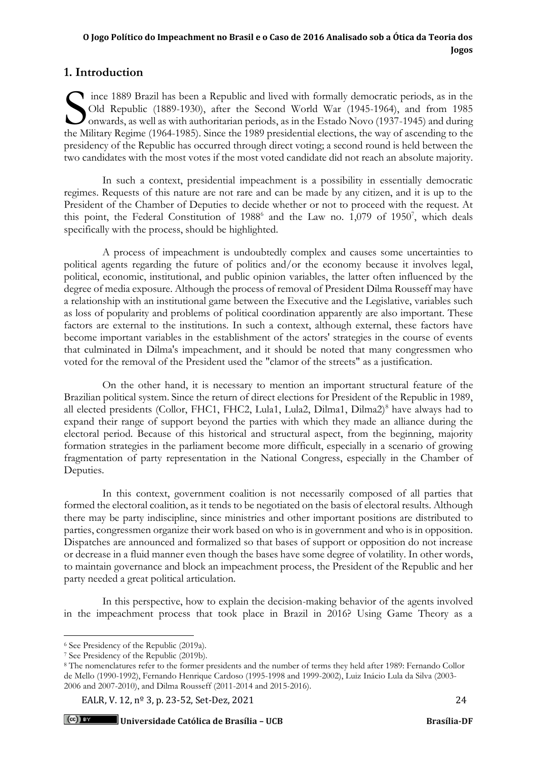## **1. Introduction**

ince 1889 Brazil has been a Republic and lived with formally democratic periods, as in the Old Republic (1889-1930), after the Second World War (1945-1964), and from 1985 onwards, as well as with authoritarian periods, as in the Estado Novo (1937-1945) and during The Military Regime (1964-1985). Since the 1989 presidential elections, the way of ascending to the Military Regime (1964-1985). Since the 1989 presidential elections, the way of ascending to the Military Regime (1964-1985 presidency of the Republic has occurred through direct voting; a second round is held between the two candidates with the most votes if the most voted candidate did not reach an absolute majority.

In such a context, presidential impeachment is a possibility in essentially democratic regimes. Requests of this nature are not rare and can be made by any citizen, and it is up to the President of the Chamber of Deputies to decide whether or not to proceed with the request. At this point, the Federal Constitution of  $1988^6$  and the Law no. 1,079 of 1950<sup>7</sup>, which deals specifically with the process, should be highlighted.

A process of impeachment is undoubtedly complex and causes some uncertainties to political agents regarding the future of politics and/or the economy because it involves legal, political, economic, institutional, and public opinion variables, the latter often influenced by the degree of media exposure. Although the process of removal of President Dilma Rousseff may have a relationship with an institutional game between the Executive and the Legislative, variables such as loss of popularity and problems of political coordination apparently are also important. These factors are external to the institutions. In such a context, although external, these factors have become important variables in the establishment of the actors' strategies in the course of events that culminated in Dilma's impeachment, and it should be noted that many congressmen who voted for the removal of the President used the "clamor of the streets" as a justification.

On the other hand, it is necessary to mention an important structural feature of the Brazilian political system. Since the return of direct elections for President of the Republic in 1989, all elected presidents (Collor, FHC1, FHC2, Lula1, Lula2, Dilma1, Dilma2)<sup>8</sup> have always had to expand their range of support beyond the parties with which they made an alliance during the electoral period. Because of this historical and structural aspect, from the beginning, majority formation strategies in the parliament become more difficult, especially in a scenario of growing fragmentation of party representation in the National Congress, especially in the Chamber of Deputies.

In this context, government coalition is not necessarily composed of all parties that formed the electoral coalition, as it tends to be negotiated on the basis of electoral results. Although there may be party indiscipline, since ministries and other important positions are distributed to parties, congressmen organize their work based on who is in government and who is in opposition. Dispatches are announced and formalized so that bases of support or opposition do not increase or decrease in a fluid manner even though the bases have some degree of volatility. In other words, to maintain governance and block an impeachment process, the President of the Republic and her party needed a great political articulation.

In this perspective, how to explain the decision-making behavior of the agents involved in the impeachment process that took place in Brazil in 2016? Using Game Theory as a

<sup>6</sup> See Presidency of the Republic (2019a).

<sup>7</sup> See Presidency of the Republic (2019b).

<sup>8</sup> The nomenclatures refer to the former presidents and the number of terms they held after 1989: Fernando Collor de Mello (1990-1992), Fernando Henrique Cardoso (1995-1998 and 1999-2002), Luiz Inácio Lula da Silva (2003- 2006 and 2007-2010), and Dilma Rousseff (2011-2014 and 2015-2016).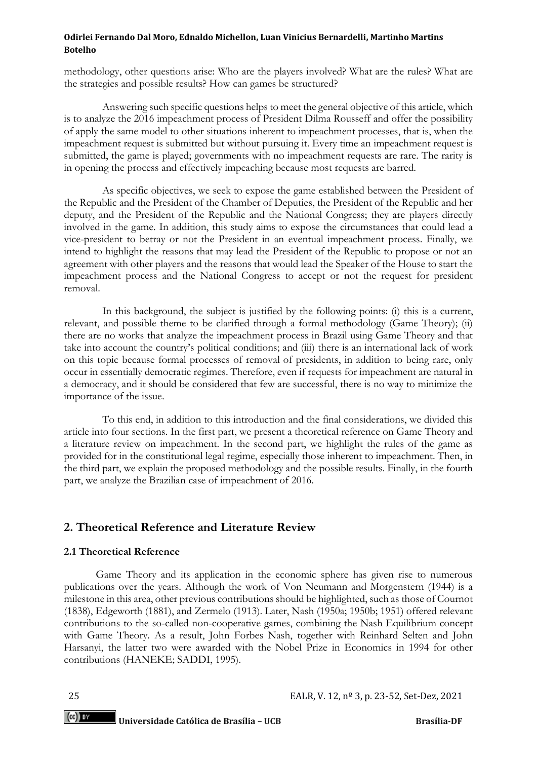methodology, other questions arise: Who are the players involved? What are the rules? What are the strategies and possible results? How can games be structured?

Answering such specific questions helps to meet the general objective of this article, which is to analyze the 2016 impeachment process of President Dilma Rousseff and offer the possibility of apply the same model to other situations inherent to impeachment processes, that is, when the impeachment request is submitted but without pursuing it. Every time an impeachment request is submitted, the game is played; governments with no impeachment requests are rare. The rarity is in opening the process and effectively impeaching because most requests are barred.

As specific objectives, we seek to expose the game established between the President of the Republic and the President of the Chamber of Deputies, the President of the Republic and her deputy, and the President of the Republic and the National Congress; they are players directly involved in the game. In addition, this study aims to expose the circumstances that could lead a vice-president to betray or not the President in an eventual impeachment process. Finally, we intend to highlight the reasons that may lead the President of the Republic to propose or not an agreement with other players and the reasons that would lead the Speaker of the House to start the impeachment process and the National Congress to accept or not the request for president removal.

In this background, the subject is justified by the following points: (i) this is a current, relevant, and possible theme to be clarified through a formal methodology (Game Theory); (ii) there are no works that analyze the impeachment process in Brazil using Game Theory and that take into account the country's political conditions; and (iii) there is an international lack of work on this topic because formal processes of removal of presidents, in addition to being rare, only occur in essentially democratic regimes. Therefore, even if requests for impeachment are natural in a democracy, and it should be considered that few are successful, there is no way to minimize the importance of the issue.

To this end, in addition to this introduction and the final considerations, we divided this article into four sections. In the first part, we present a theoretical reference on Game Theory and a literature review on impeachment. In the second part, we highlight the rules of the game as provided for in the constitutional legal regime, especially those inherent to impeachment. Then, in the third part, we explain the proposed methodology and the possible results. Finally, in the fourth part, we analyze the Brazilian case of impeachment of 2016.

## **2. Theoretical Reference and Literature Review**

## **2.1 Theoretical Reference**

Game Theory and its application in the economic sphere has given rise to numerous publications over the years. Although the work of Von Neumann and Morgenstern (1944) is a milestone in this area, other previous contributions should be highlighted, such as those of Cournot (1838), Edgeworth (1881), and Zermelo (1913). Later, Nash (1950a; 1950b; 1951) offered relevant contributions to the so-called non-cooperative games, combining the Nash Equilibrium concept with Game Theory. As a result, John Forbes Nash, together with Reinhard Selten and John Harsanyi, the latter two were awarded with the Nobel Prize in Economics in 1994 for other contributions (HANEKE; SADDI, 1995).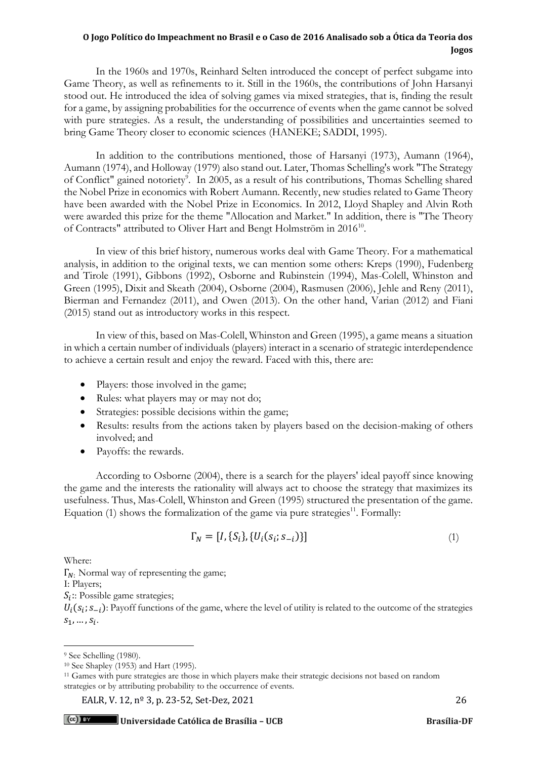In the 1960s and 1970s, Reinhard Selten introduced the concept of perfect subgame into Game Theory, as well as refinements to it. Still in the 1960s, the contributions of John Harsanyi stood out. He introduced the idea of solving games via mixed strategies, that is, finding the result for a game, by assigning probabilities for the occurrence of events when the game cannot be solved with pure strategies. As a result, the understanding of possibilities and uncertainties seemed to bring Game Theory closer to economic sciences (HANEKE; SADDI, 1995).

In addition to the contributions mentioned, those of Harsanyi (1973), Aumann (1964), Aumann (1974), and Holloway (1979) also stand out. Later, Thomas Schelling's work "The Strategy of Conflict" gained notoriety<sup>9</sup>. In 2005, as a result of his contributions, Thomas Schelling shared the Nobel Prize in economics with Robert Aumann. Recently, new studies related to Game Theory have been awarded with the Nobel Prize in Economics. In 2012, Lloyd Shapley and Alvin Roth were awarded this prize for the theme "Allocation and Market." In addition, there is "The Theory of Contracts" attributed to Oliver Hart and Bengt Holmström in 2016<sup>10</sup>.

In view of this brief history, numerous works deal with Game Theory. For a mathematical analysis, in addition to the original texts, we can mention some others: Kreps (1990), Fudenberg and Tirole (1991), Gibbons (1992), Osborne and Rubinstein (1994), Mas-Colell, Whinston and Green (1995), Dixit and Skeath (2004), Osborne (2004), Rasmusen (2006), Jehle and Reny (2011), Bierman and Fernandez (2011), and Owen (2013). On the other hand, Varian (2012) and Fiani (2015) stand out as introductory works in this respect.

In view of this, based on Mas-Colell, Whinston and Green (1995), a game means a situation in which a certain number of individuals (players) interact in a scenario of strategic interdependence to achieve a certain result and enjoy the reward. Faced with this, there are:

- Players: those involved in the game;
- Rules: what players may or may not do;
- Strategies: possible decisions within the game;
- Results: results from the actions taken by players based on the decision-making of others involved; and
- Payoffs: the rewards.

According to Osborne (2004), there is a search for the players' ideal payoff since knowing the game and the interests the rationality will always act to choose the strategy that maximizes its usefulness. Thus, Mas-Colell, Whinston and Green (1995) structured the presentation of the game. Equation  $(1)$  shows the formalization of the game via pure strategies<sup>11</sup>. Formally:

$$
\Gamma_N = [I, \{S_i\}, \{U_i(s_i; s_{-i})\}]
$$
\n(1)

Where:

 $\Gamma_{N}$ : Normal way of representing the game;

I: Players;

 $S_i$ :: Possible game strategies;

 $U_i(s_i; s_{-i})$ : Payoff functions of the game, where the level of utility is related to the outcome of the strategies  $S_1, ..., S_i.$ 

<sup>&</sup>lt;sup>9</sup> See Schelling (1980).

<sup>10</sup> See Shapley (1953) and Hart (1995).

<sup>11</sup> Games with pure strategies are those in which players make their strategic decisions not based on random strategies or by attributing probability to the occurrence of events.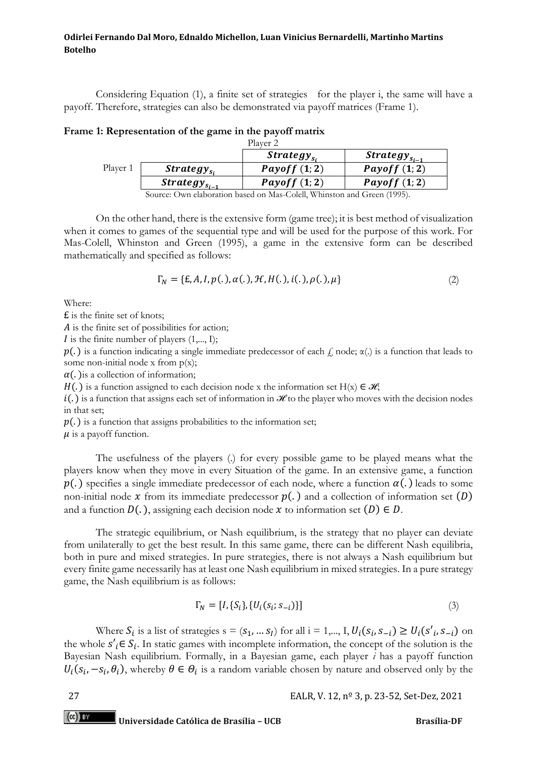Considering Equation (1), a finite set of strategies for the player i, the same will have a payoff. Therefore, strategies can also be demonstrated via payoff matrices (Frame 1).

| Frame 1: Representation of the game in the payoff matrix |  |                     |  |
|----------------------------------------------------------|--|---------------------|--|
|                                                          |  | Player <sub>2</sub> |  |

|          |                                                                                             | <i>Strategy</i> <sub>si</sub> | Strategy $_{S_{i-1}}$ |  |  |
|----------|---------------------------------------------------------------------------------------------|-------------------------------|-----------------------|--|--|
| Player 1 | $Strategy_{Si}$                                                                             | Payoff $(1,2)$                | Payoff $(1,2)$        |  |  |
|          | Strategy $_{s_{i-1}}$                                                                       | Payoff $(1,2)$                | Payoff $(1,2)$        |  |  |
|          | $S_{\text{out},\text{out}}$ Orres alghoustian based on Mes Calell Whinston and Cusso (1005) |                               |                       |  |  |

Source: Own elaboration based on Mas-Colell, Whinston and Green (1995).

On the other hand, there is the extensive form (game tree); it is best method of visualization when it comes to games of the sequential type and will be used for the purpose of this work. For Mas-Colell, Whinston and Green (1995), a game in the extensive form can be described mathematically and specified as follows:

$$
\Gamma_N = \{E, A, I, p(.), \alpha(.), H, H(.), i(.), \rho(.), \mu\}
$$
 (2)

Where:

£ is the finite set of knots;

 $A$  is the finite set of possibilities for action;

 $I$  is the finite number of players  $(1,..., I);$ 

 $p(.)$  is a function indicating a single immediate predecessor of each  $f$ , node;  $\alpha(.)$  is a function that leads to some non-initial node x from  $p(x)$ ;

 $\alpha$ (.) is a collection of information;

H(.) is a function assigned to each decision node x the information set H(x)  $\in \mathcal{H}$ ;

 $i(.)$  is a function that assigns each set of information in ℋ to the player who moves with the decision nodes in that set;

 $p(.)$  is a function that assigns probabilities to the information set;

 $\mu$  is a payoff function.

The usefulness of the players (.) for every possible game to be played means what the players know when they move in every Situation of the game. In an extensive game, a function  $p(.)$  specifies a single immediate predecessor of each node, where a function  $\alpha(.)$  leads to some non-initial node  $x$  from its immediate predecessor  $p(.)$  and a collection of information set  $(D)$ and a function  $D(.)$ , assigning each decision node  $x$  to information set  $(D) \in D$ .

The strategic equilibrium, or Nash equilibrium, is the strategy that no player can deviate from unilaterally to get the best result. In this same game, there can be different Nash equilibria, both in pure and mixed strategies. In pure strategies, there is not always a Nash equilibrium but every finite game necessarily has at least one Nash equilibrium in mixed strategies. In a pure strategy game, the Nash equilibrium is as follows:

$$
\Gamma_N = [I, \{S_i\}, \{U_i(s_i; s_{-i})\}]
$$
\n(3)

Where  $S_i$  is a list of strategies  $s = (s_1, ..., s_l)$  for all  $i = 1,..., I, U_i(s_i, s_{-i}) \ge U_i(s'_i, s_{-i})$  on the whole  $s'_{i} \in S_{i}$ . In static games with incomplete information, the concept of the solution is the Bayesian Nash equilibrium. Formally, in a Bayesian game, each player *i* has a payoff function  $U_i(s_i, -s_i, \theta_i)$ , whereby  $\theta \in \Theta_i$  is a random variable chosen by nature and observed only by the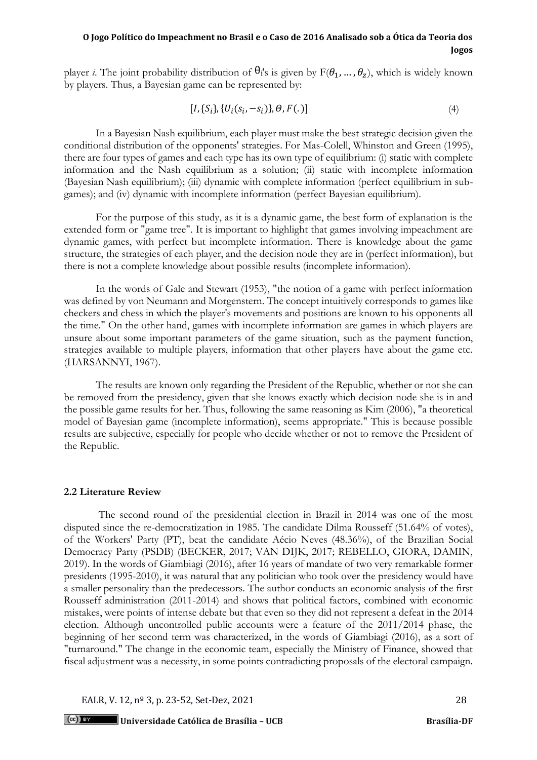player *i*. The joint probability distribution of  $\theta_i$ 's is given by  $F(\theta_1, ..., \theta_z)$ , which is widely known by players. Thus, a Bayesian game can be represented by:

$$
[I, \{S_i\}, \{U_i(s_i, -s_i)\}, \Theta, F(.)]
$$
\n(4)

In a Bayesian Nash equilibrium, each player must make the best strategic decision given the conditional distribution of the opponents' strategies. For Mas-Colell, Whinston and Green (1995), there are four types of games and each type has its own type of equilibrium: (i) static with complete information and the Nash equilibrium as a solution; (ii) static with incomplete information (Bayesian Nash equilibrium); (iii) dynamic with complete information (perfect equilibrium in subgames); and (iv) dynamic with incomplete information (perfect Bayesian equilibrium).

For the purpose of this study, as it is a dynamic game, the best form of explanation is the extended form or "game tree". It is important to highlight that games involving impeachment are dynamic games, with perfect but incomplete information. There is knowledge about the game structure, the strategies of each player, and the decision node they are in (perfect information), but there is not a complete knowledge about possible results (incomplete information).

In the words of Gale and Stewart (1953), "the notion of a game with perfect information was defined by von Neumann and Morgenstern. The concept intuitively corresponds to games like checkers and chess in which the player's movements and positions are known to his opponents all the time." On the other hand, games with incomplete information are games in which players are unsure about some important parameters of the game situation, such as the payment function, strategies available to multiple players, information that other players have about the game etc. (HARSANNYI, 1967).

The results are known only regarding the President of the Republic, whether or not she can be removed from the presidency, given that she knows exactly which decision node she is in and the possible game results for her. Thus, following the same reasoning as Kim (2006), "a theoretical model of Bayesian game (incomplete information), seems appropriate." This is because possible results are subjective, especially for people who decide whether or not to remove the President of the Republic.

#### **2.2 Literature Review**

The second round of the presidential election in Brazil in 2014 was one of the most disputed since the re-democratization in 1985. The candidate Dilma Rousseff (51.64% of votes), of the Workers' Party (PT), beat the candidate Aécio Neves (48.36%), of the Brazilian Social Democracy Party (PSDB) (BECKER, 2017; VAN DIJK, 2017; REBELLO, GIORA, DAMIN, 2019). In the words of Giambiagi (2016), after 16 years of mandate of two very remarkable former presidents (1995-2010), it was natural that any politician who took over the presidency would have a smaller personality than the predecessors. The author conducts an economic analysis of the first Rousseff administration (2011-2014) and shows that political factors, combined with economic mistakes, were points of intense debate but that even so they did not represent a defeat in the 2014 election. Although uncontrolled public accounts were a feature of the 2011/2014 phase, the beginning of her second term was characterized, in the words of Giambiagi (2016), as a sort of "turnaround." The change in the economic team, especially the Ministry of Finance, showed that fiscal adjustment was a necessity, in some points contradicting proposals of the electoral campaign.

EALR, V. 12, n<sup>o</sup> 3, p. 23-52, Set-Dez, 2021 28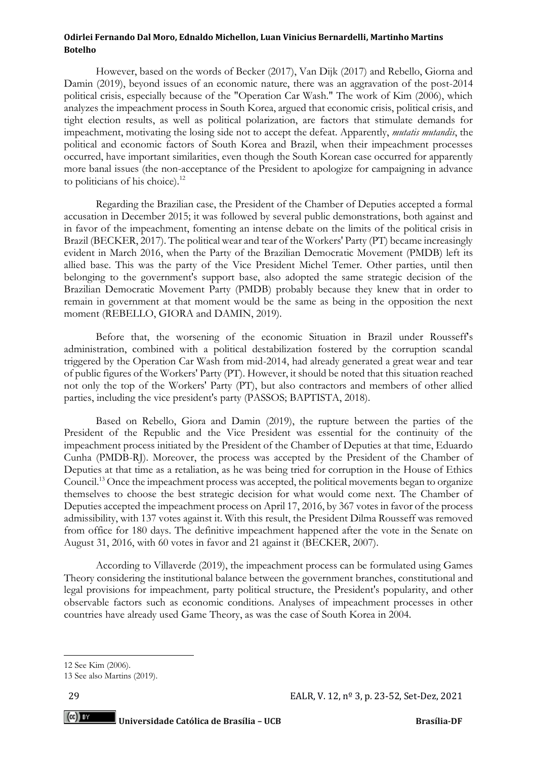However, based on the words of Becker (2017), Van Dijk (2017) and Rebello, Giorna and Damin (2019), beyond issues of an economic nature, there was an aggravation of the post-2014 political crisis, especially because of the "Operation Car Wash." The work of Kim (2006), which analyzes the impeachment process in South Korea, argued that economic crisis, political crisis, and tight election results, as well as political polarization, are factors that stimulate demands for impeachment, motivating the losing side not to accept the defeat. Apparently, *mutatis mutandis*, the political and economic factors of South Korea and Brazil, when their impeachment processes occurred, have important similarities, even though the South Korean case occurred for apparently more banal issues (the non-acceptance of the President to apologize for campaigning in advance to politicians of his choice).<sup>12</sup>

Regarding the Brazilian case, the President of the Chamber of Deputies accepted a formal accusation in December 2015; it was followed by several public demonstrations, both against and in favor of the impeachment, fomenting an intense debate on the limits of the political crisis in Brazil (BECKER, 2017). The political wear and tear of the Workers' Party (PT) became increasingly evident in March 2016, when the Party of the Brazilian Democratic Movement (PMDB) left its allied base. This was the party of the Vice President Michel Temer. Other parties, until then belonging to the government's support base, also adopted the same strategic decision of the Brazilian Democratic Movement Party (PMDB) probably because they knew that in order to remain in government at that moment would be the same as being in the opposition the next moment (REBELLO, GIORA and DAMIN, 2019).

Before that, the worsening of the economic Situation in Brazil under Rousseff's administration, combined with a political destabilization fostered by the corruption scandal triggered by the Operation Car Wash from mid-2014, had already generated a great wear and tear of public figures of the Workers' Party (PT). However, it should be noted that this situation reached not only the top of the Workers' Party (PT), but also contractors and members of other allied parties, including the vice president's party (PASSOS; BAPTISTA, 2018).

Based on Rebello, Giora and Damin (2019), the rupture between the parties of the President of the Republic and the Vice President was essential for the continuity of the impeachment process initiated by the President of the Chamber of Deputies at that time, Eduardo Cunha (PMDB-RJ). Moreover, the process was accepted by the President of the Chamber of Deputies at that time as a retaliation, as he was being tried for corruption in the House of Ethics Council.<sup>13</sup> Once the impeachment process was accepted, the political movements began to organize themselves to choose the best strategic decision for what would come next. The Chamber of Deputies accepted the impeachment process on April 17, 2016, by 367 votes in favor of the process admissibility, with 137 votes against it. With this result, the President Dilma Rousseff was removed from office for 180 days. The definitive impeachment happened after the vote in the Senate on August 31, 2016, with 60 votes in favor and 21 against it (BECKER, 2007).

According to Villaverde (2019), the impeachment process can be formulated using Games Theory considering the institutional balance between the government branches, constitutional and legal provisions for impeachment*,* party political structure, the President's popularity, and other observable factors such as economic conditions. Analyses of impeachment processes in other countries have already used Game Theory, as was the case of South Korea in 2004.

(cc) BY

<sup>12</sup> See Kim (2006).

<sup>13</sup> See also Martins (2019).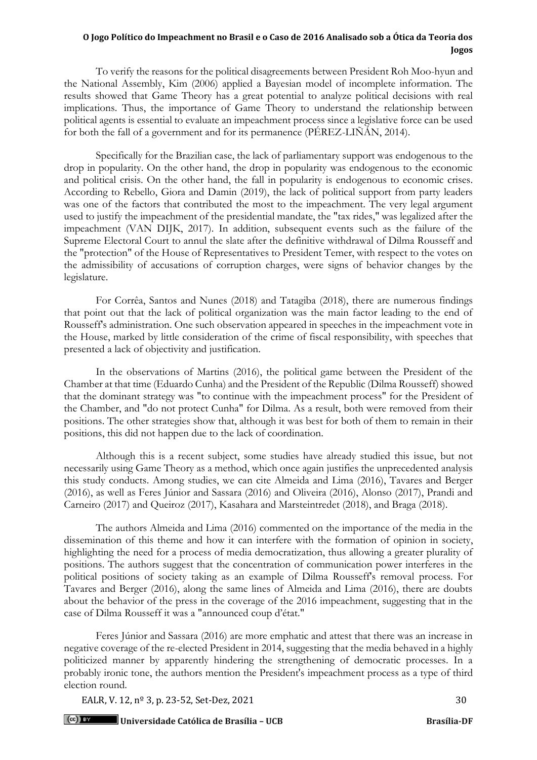To verify the reasons for the political disagreements between President Roh Moo-hyun and the National Assembly, Kim (2006) applied a Bayesian model of incomplete information. The results showed that Game Theory has a great potential to analyze political decisions with real implications. Thus, the importance of Game Theory to understand the relationship between political agents is essential to evaluate an impeachment process since a legislative force can be used for both the fall of a government and for its permanence (PÉREZ-LIÑÁN, 2014).

Specifically for the Brazilian case, the lack of parliamentary support was endogenous to the drop in popularity. On the other hand, the drop in popularity was endogenous to the economic and political crisis. On the other hand, the fall in popularity is endogenous to economic crises. According to Rebello, Giora and Damin (2019), the lack of political support from party leaders was one of the factors that contributed the most to the impeachment. The very legal argument used to justify the impeachment of the presidential mandate, the "tax rides," was legalized after the impeachment (VAN DIJK, 2017). In addition, subsequent events such as the failure of the Supreme Electoral Court to annul the slate after the definitive withdrawal of Dilma Rousseff and the "protection" of the House of Representatives to President Temer, with respect to the votes on the admissibility of accusations of corruption charges, were signs of behavior changes by the legislature.

For Corrêa, Santos and Nunes (2018) and Tatagiba (2018), there are numerous findings that point out that the lack of political organization was the main factor leading to the end of Rousseff's administration. One such observation appeared in speeches in the impeachment vote in the House, marked by little consideration of the crime of fiscal responsibility, with speeches that presented a lack of objectivity and justification.

In the observations of Martins (2016), the political game between the President of the Chamber at that time (Eduardo Cunha) and the President of the Republic (Dilma Rousseff) showed that the dominant strategy was "to continue with the impeachment process" for the President of the Chamber, and "do not protect Cunha" for Dilma. As a result, both were removed from their positions. The other strategies show that, although it was best for both of them to remain in their positions, this did not happen due to the lack of coordination.

Although this is a recent subject, some studies have already studied this issue, but not necessarily using Game Theory as a method, which once again justifies the unprecedented analysis this study conducts. Among studies, we can cite Almeida and Lima (2016), Tavares and Berger (2016), as well as Feres Júnior and Sassara (2016) and Oliveira (2016), Alonso (2017), Prandi and Carneiro (2017) and Queiroz (2017), Kasahara and Marsteintredet (2018), and Braga (2018).

The authors Almeida and Lima (2016) commented on the importance of the media in the dissemination of this theme and how it can interfere with the formation of opinion in society, highlighting the need for a process of media democratization, thus allowing a greater plurality of positions. The authors suggest that the concentration of communication power interferes in the political positions of society taking as an example of Dilma Rousseff's removal process. For Tavares and Berger (2016), along the same lines of Almeida and Lima (2016), there are doubts about the behavior of the press in the coverage of the 2016 impeachment, suggesting that in the case of Dilma Rousseff it was a "announced coup d'état."

Feres Júnior and Sassara (2016) are more emphatic and attest that there was an increase in negative coverage of the re-elected President in 2014, suggesting that the media behaved in a highly politicized manner by apparently hindering the strengthening of democratic processes. In a probably ironic tone, the authors mention the President's impeachment process as a type of third election round.

EALR, V. 12, n<sup>o</sup> 3, p. 23-52, Set-Dez, 2021 30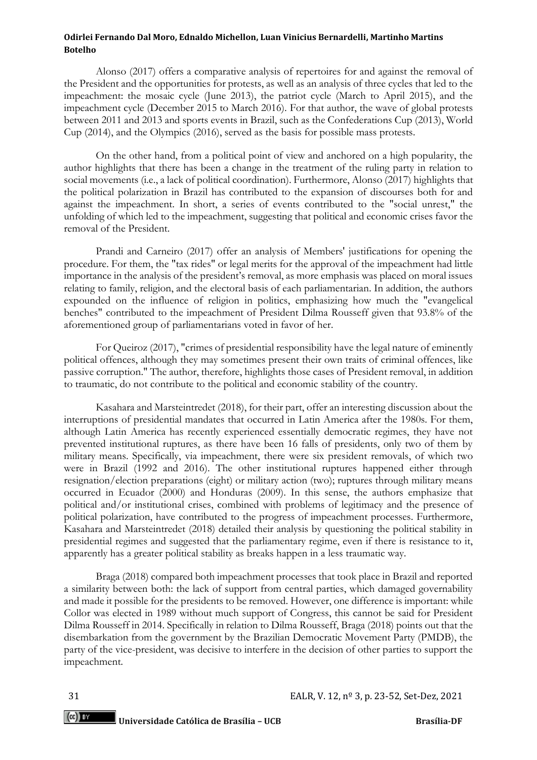Alonso (2017) offers a comparative analysis of repertoires for and against the removal of the President and the opportunities for protests, as well as an analysis of three cycles that led to the impeachment: the mosaic cycle (June 2013), the patriot cycle (March to April 2015), and the impeachment cycle (December 2015 to March 2016). For that author, the wave of global protests between 2011 and 2013 and sports events in Brazil, such as the Confederations Cup (2013), World Cup (2014), and the Olympics (2016), served as the basis for possible mass protests.

On the other hand, from a political point of view and anchored on a high popularity, the author highlights that there has been a change in the treatment of the ruling party in relation to social movements (i.e., a lack of political coordination). Furthermore, Alonso (2017) highlights that the political polarization in Brazil has contributed to the expansion of discourses both for and against the impeachment. In short, a series of events contributed to the "social unrest," the unfolding of which led to the impeachment, suggesting that political and economic crises favor the removal of the President.

Prandi and Carneiro (2017) offer an analysis of Members' justifications for opening the procedure. For them, the "tax rides" or legal merits for the approval of the impeachment had little importance in the analysis of the president's removal, as more emphasis was placed on moral issues relating to family, religion, and the electoral basis of each parliamentarian. In addition, the authors expounded on the influence of religion in politics, emphasizing how much the "evangelical benches" contributed to the impeachment of President Dilma Rousseff given that 93.8% of the aforementioned group of parliamentarians voted in favor of her.

For Queiroz (2017), "crimes of presidential responsibility have the legal nature of eminently political offences, although they may sometimes present their own traits of criminal offences, like passive corruption." The author, therefore, highlights those cases of President removal, in addition to traumatic, do not contribute to the political and economic stability of the country.

Kasahara and Marsteintredet (2018), for their part, offer an interesting discussion about the interruptions of presidential mandates that occurred in Latin America after the 1980s. For them, although Latin America has recently experienced essentially democratic regimes, they have not prevented institutional ruptures, as there have been 16 falls of presidents, only two of them by military means. Specifically, via impeachment, there were six president removals, of which two were in Brazil (1992 and 2016). The other institutional ruptures happened either through resignation/election preparations (eight) or military action (two); ruptures through military means occurred in Ecuador (2000) and Honduras (2009). In this sense, the authors emphasize that political and/or institutional crises, combined with problems of legitimacy and the presence of political polarization, have contributed to the progress of impeachment processes. Furthermore, Kasahara and Marsteintredet (2018) detailed their analysis by questioning the political stability in presidential regimes and suggested that the parliamentary regime, even if there is resistance to it, apparently has a greater political stability as breaks happen in a less traumatic way.

Braga (2018) compared both impeachment processes that took place in Brazil and reported a similarity between both: the lack of support from central parties, which damaged governability and made it possible for the presidents to be removed. However, one difference is important: while Collor was elected in 1989 without much support of Congress, this cannot be said for President Dilma Rousseff in 2014. Specifically in relation to Dilma Rousseff, Braga (2018) points out that the disembarkation from the government by the Brazilian Democratic Movement Party (PMDB), the party of the vice-president, was decisive to interfere in the decision of other parties to support the impeachment*.*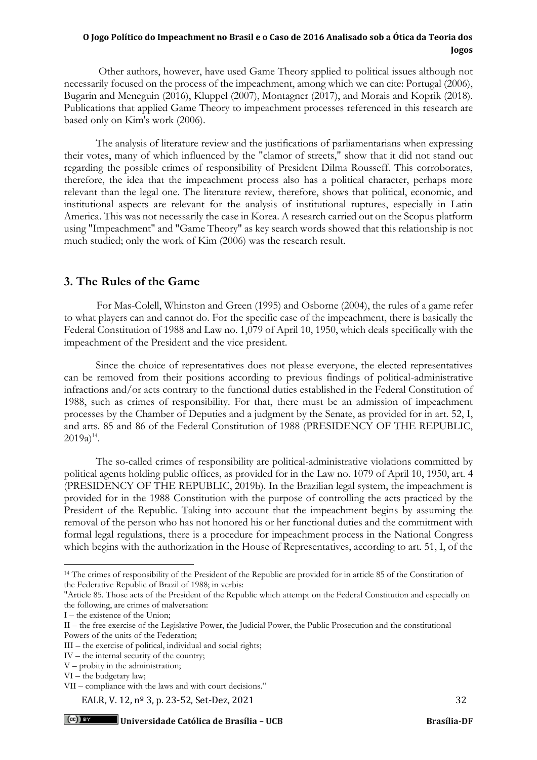Other authors, however, have used Game Theory applied to political issues although not necessarily focused on the process of the impeachment, among which we can cite: Portugal (2006), Bugarin and Meneguin (2016), Kluppel (2007), Montagner (2017), and Morais and Koprik (2018). Publications that applied Game Theory to impeachment processes referenced in this research are based only on Kim's work (2006).

The analysis of literature review and the justifications of parliamentarians when expressing their votes, many of which influenced by the "clamor of streets," show that it did not stand out regarding the possible crimes of responsibility of President Dilma Rousseff. This corroborates, therefore, the idea that the impeachment process also has a political character, perhaps more relevant than the legal one. The literature review, therefore, shows that political, economic, and institutional aspects are relevant for the analysis of institutional ruptures, especially in Latin America. This was not necessarily the case in Korea. A research carried out on the Scopus platform using "Impeachment" and "Game Theory" as key search words showed that this relationship is not much studied; only the work of Kim (2006) was the research result.

## **3. The Rules of the Game**

For Mas-Colell, Whinston and Green (1995) and Osborne (2004), the rules of a game refer to what players can and cannot do. For the specific case of the impeachment, there is basically the Federal Constitution of 1988 and Law no. 1,079 of April 10, 1950, which deals specifically with the impeachment of the President and the vice president.

Since the choice of representatives does not please everyone, the elected representatives can be removed from their positions according to previous findings of political-administrative infractions and/or acts contrary to the functional duties established in the Federal Constitution of 1988, such as crimes of responsibility. For that, there must be an admission of impeachment processes by the Chamber of Deputies and a judgment by the Senate, as provided for in art. 52, I, and arts. 85 and 86 of the Federal Constitution of 1988 (PRESIDENCY OF THE REPUBLIC,  $2019a)^{14}$ .

The so-called crimes of responsibility are political-administrative violations committed by political agents holding public offices, as provided for in the Law no. 1079 of April 10, 1950, art. 4 (PRESIDENCY OF THE REPUBLIC, 2019b). In the Brazilian legal system, the impeachment is provided for in the 1988 Constitution with the purpose of controlling the acts practiced by the President of the Republic. Taking into account that the impeachment begins by assuming the removal of the person who has not honored his or her functional duties and the commitment with formal legal regulations, there is a procedure for impeachment process in the National Congress which begins with the authorization in the House of Representatives, according to art. 51, I, of the

EALR, V. 12,  $n^{\circ}$  3, p. 23-52, Set-Dez, 2021 32

<sup>&</sup>lt;sup>14</sup> The crimes of responsibility of the President of the Republic are provided for in article 85 of the Constitution of the Federative Republic of Brazil of 1988; in verbis:

<sup>&</sup>quot;Article 85. Those acts of the President of the Republic which attempt on the Federal Constitution and especially on the following, are crimes of malversation:

I – the existence of the Union;

II – the free exercise of the Legislative Power, the Judicial Power, the Public Prosecution and the constitutional Powers of the units of the Federation;

III – the exercise of political, individual and social rights;

IV – the internal security of the country;

V – probity in the administration;

VI – the budgetary law;

VII – compliance with the laws and with court decisions."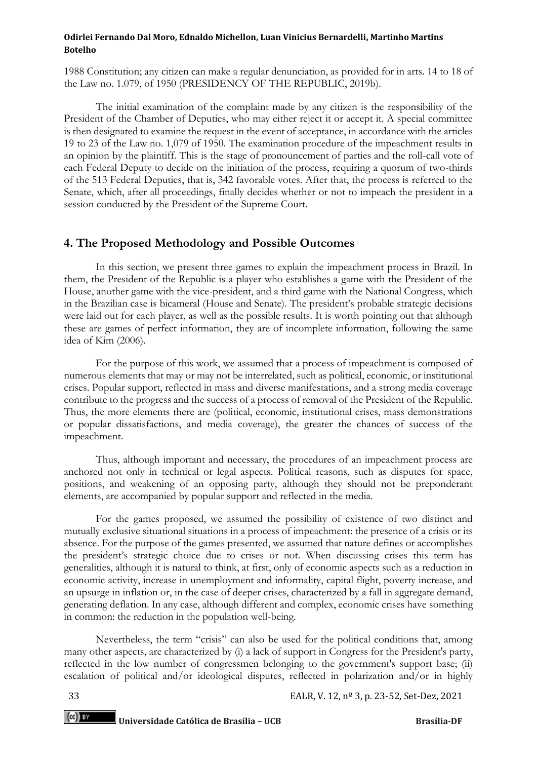1988 Constitution; any citizen can make a regular denunciation, as provided for in arts. 14 to 18 of the Law no. 1.079, of 1950 (PRESIDENCY OF THE REPUBLIC, 2019b).

The initial examination of the complaint made by any citizen is the responsibility of the President of the Chamber of Deputies, who may either reject it or accept it. A special committee is then designated to examine the request in the event of acceptance, in accordance with the articles 19 to 23 of the Law no. 1,079 of 1950. The examination procedure of the impeachment results in an opinion by the plaintiff. This is the stage of pronouncement of parties and the roll-call vote of each Federal Deputy to decide on the initiation of the process, requiring a quorum of two-thirds of the 513 Federal Deputies, that is, 342 favorable votes. After that, the process is referred to the Senate, which, after all proceedings, finally decides whether or not to impeach the president in a session conducted by the President of the Supreme Court.

## **4. The Proposed Methodology and Possible Outcomes**

In this section, we present three games to explain the impeachment process in Brazil. In them, the President of the Republic is a player who establishes a game with the President of the House, another game with the vice-president, and a third game with the National Congress, which in the Brazilian case is bicameral (House and Senate). The president's probable strategic decisions were laid out for each player, as well as the possible results. It is worth pointing out that although these are games of perfect information, they are of incomplete information, following the same idea of Kim (2006).

For the purpose of this work, we assumed that a process of impeachment is composed of numerous elements that may or may not be interrelated, such as political, economic, or institutional crises. Popular support, reflected in mass and diverse manifestations, and a strong media coverage contribute to the progress and the success of a process of removal of the President of the Republic. Thus, the more elements there are (political, economic, institutional crises, mass demonstrations or popular dissatisfactions, and media coverage), the greater the chances of success of the impeachment.

Thus, although important and necessary, the procedures of an impeachment process are anchored not only in technical or legal aspects. Political reasons, such as disputes for space, positions, and weakening of an opposing party, although they should not be preponderant elements, are accompanied by popular support and reflected in the media.

For the games proposed, we assumed the possibility of existence of two distinct and mutually exclusive situational situations in a process of impeachment: the presence of a crisis or its absence. For the purpose of the games presented, we assumed that nature defines or accomplishes the president's strategic choice due to crises or not. When discussing crises this term has generalities, although it is natural to think, at first, only of economic aspects such as a reduction in economic activity, increase in unemployment and informality, capital flight, poverty increase, and an upsurge in inflation or, in the case of deeper crises, characterized by a fall in aggregate demand, generating deflation. In any case, although different and complex, economic crises have something in common: the reduction in the population well-being.

Nevertheless, the term "crisis" can also be used for the political conditions that, among many other aspects, are characterized by (i) a lack of support in Congress for the President's party, reflected in the low number of congressmen belonging to the government's support base; (ii) escalation of political and/or ideological disputes, reflected in polarization and/or in highly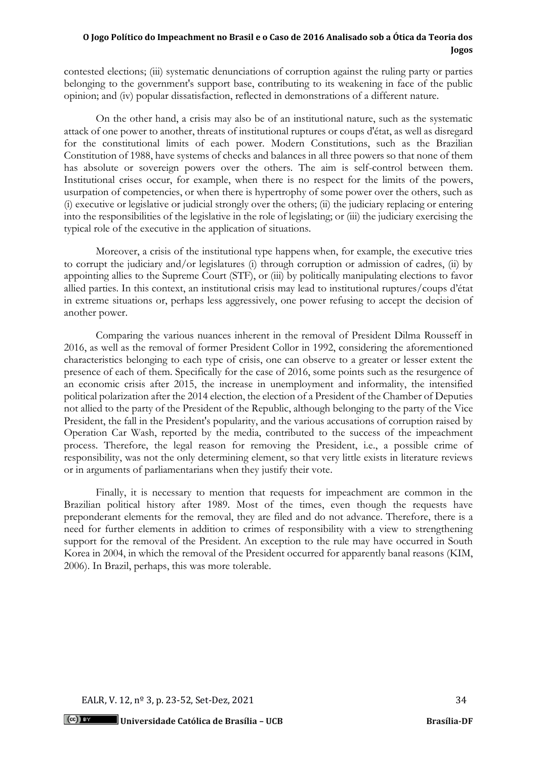contested elections; (iii) systematic denunciations of corruption against the ruling party or parties belonging to the government's support base, contributing to its weakening in face of the public opinion; and (iv) popular dissatisfaction, reflected in demonstrations of a different nature.

On the other hand, a crisis may also be of an institutional nature, such as the systematic attack of one power to another, threats of institutional ruptures or coups d'état, as well as disregard for the constitutional limits of each power. Modern Constitutions, such as the Brazilian Constitution of 1988, have systems of checks and balances in all three powers so that none of them has absolute or sovereign powers over the others. The aim is self-control between them. Institutional crises occur, for example, when there is no respect for the limits of the powers, usurpation of competencies, or when there is hypertrophy of some power over the others, such as (i) executive or legislative or judicial strongly over the others; (ii) the judiciary replacing or entering into the responsibilities of the legislative in the role of legislating; or (iii) the judiciary exercising the typical role of the executive in the application of situations.

Moreover, a crisis of the institutional type happens when, for example, the executive tries to corrupt the judiciary and/or legislatures (i) through corruption or admission of cadres, (ii) by appointing allies to the Supreme Court (STF), or (iii) by politically manipulating elections to favor allied parties. In this context, an institutional crisis may lead to institutional ruptures/coups d'état in extreme situations or, perhaps less aggressively, one power refusing to accept the decision of another power.

Comparing the various nuances inherent in the removal of President Dilma Rousseff in 2016, as well as the removal of former President Collor in 1992, considering the aforementioned characteristics belonging to each type of crisis, one can observe to a greater or lesser extent the presence of each of them. Specifically for the case of 2016, some points such as the resurgence of an economic crisis after 2015, the increase in unemployment and informality, the intensified political polarization after the 2014 election, the election of a President of the Chamber of Deputies not allied to the party of the President of the Republic, although belonging to the party of the Vice President, the fall in the President's popularity, and the various accusations of corruption raised by Operation Car Wash, reported by the media, contributed to the success of the impeachment process. Therefore, the legal reason for removing the President, i.e., a possible crime of responsibility, was not the only determining element, so that very little exists in literature reviews or in arguments of parliamentarians when they justify their vote.

Finally, it is necessary to mention that requests for impeachment are common in the Brazilian political history after 1989. Most of the times, even though the requests have preponderant elements for the removal, they are filed and do not advance. Therefore, there is a need for further elements in addition to crimes of responsibility with a view to strengthening support for the removal of the President. An exception to the rule may have occurred in South Korea in 2004, in which the removal of the President occurred for apparently banal reasons (KIM, 2006). In Brazil, perhaps, this was more tolerable.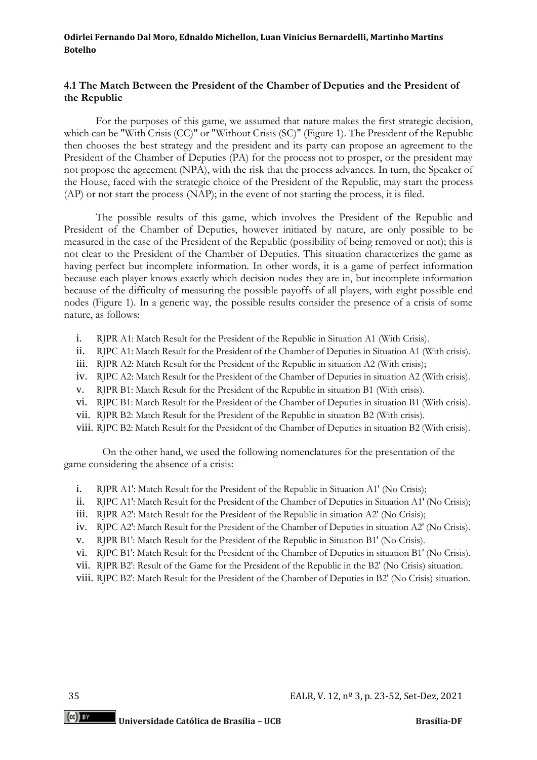#### **4.1 The Match Between the President of the Chamber of Deputies and the President of the Republic**

For the purposes of this game, we assumed that nature makes the first strategic decision, which can be "With Crisis (CC)" or "Without Crisis (SC)" (Figure 1). The President of the Republic then chooses the best strategy and the president and its party can propose an agreement to the President of the Chamber of Deputies (PA) for the process not to prosper, or the president may not propose the agreement (NPA), with the risk that the process advances. In turn, the Speaker of the House, faced with the strategic choice of the President of the Republic, may start the process (AP) or not start the process (NAP); in the event of not starting the process, it is filed.

The possible results of this game, which involves the President of the Republic and President of the Chamber of Deputies, however initiated by nature, are only possible to be measured in the case of the President of the Republic (possibility of being removed or not); this is not clear to the President of the Chamber of Deputies. This situation characterizes the game as having perfect but incomplete information. In other words, it is a game of perfect information because each player knows exactly which decision nodes they are in, but incomplete information because of the difficulty of measuring the possible payoffs of all players, with eight possible end nodes (Figure 1). In a generic way, the possible results consider the presence of a crisis of some nature, as follows:

- i. RJPR A1: Match Result for the President of the Republic in Situation A1 (With Crisis).
- ii. RJPC A1: Match Result for the President of the Chamber of Deputies in Situation A1 (With crisis).
- iii. RJPR A2: Match Result for the President of the Republic in situation A2 (With crisis);
- iv. RJPC A2: Match Result for the President of the Chamber of Deputies in situation A2 (With crisis).
- v. RJPR B1: Match Result for the President of the Republic in situation B1 (With crisis).
- vi. RJPC B1: Match Result for the President of the Chamber of Deputies in situation B1 (With crisis).
- vii. RJPR B2: Match Result for the President of the Republic in situation B2 (With crisis).
- viii. RJPC B2: Match Result for the President of the Chamber of Deputies in situation B2 (With crisis).

On the other hand, we used the following nomenclatures for the presentation of the game considering the absence of a crisis:

- i. RJPR A1': Match Result for the President of the Republic in Situation A1' (No Crisis);
- ii. RJPC A1': Match Result for the President of the Chamber of Deputies in Situation A1' (No Crisis);
- iii. RJPR A2': Match Result for the President of the Republic in situation A2' (No Crisis);
- iv. RJPC A2': Match Result for the President of the Chamber of Deputies in situation A2' (No Crisis).
- v. RJPR B1': Match Result for the President of the Republic in Situation B1' (No Crisis).
- vi. RJPC B1': Match Result for the President of the Chamber of Deputies in situation B1' (No Crisis).
- vii. RJPR B2': Result of the Game for the President of the Republic in the B2' (No Crisis) situation.
- viii. RJPC B2': Match Result for the President of the Chamber of Deputies in B2' (No Crisis) situation.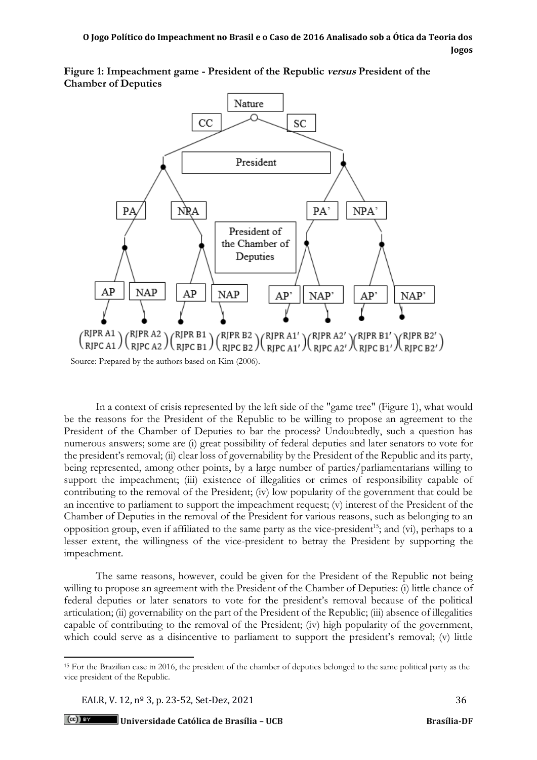**Figure 1: Impeachment game - President of the Republic versus President of the Chamber of Deputies**



In a context of crisis represented by the left side of the "game tree" (Figure 1), what would be the reasons for the President of the Republic to be willing to propose an agreement to the President of the Chamber of Deputies to bar the process? Undoubtedly, such a question has numerous answers; some are (i) great possibility of federal deputies and later senators to vote for the president's removal; (ii) clear loss of governability by the President of the Republic and its party, being represented, among other points, by a large number of parties/parliamentarians willing to support the impeachment; (iii) existence of illegalities or crimes of responsibility capable of contributing to the removal of the President; (iv) low popularity of the government that could be an incentive to parliament to support the impeachment request; (v) interest of the President of the Chamber of Deputies in the removal of the President for various reasons, such as belonging to an opposition group, even if affiliated to the same party as the vice-president<sup>15</sup>; and (vi), perhaps to a lesser extent, the willingness of the vice-president to betray the President by supporting the impeachment.

The same reasons, however, could be given for the President of the Republic not being willing to propose an agreement with the President of the Chamber of Deputies: (i) little chance of federal deputies or later senators to vote for the president's removal because of the political articulation; (ii) governability on the part of the President of the Republic; (iii) absence of illegalities capable of contributing to the removal of the President; (iv) high popularity of the government, which could serve as a disincentive to parliament to support the president's removal; (v) little

<sup>15</sup> For the Brazilian case in 2016, the president of the chamber of deputies belonged to the same political party as the vice president of the Republic.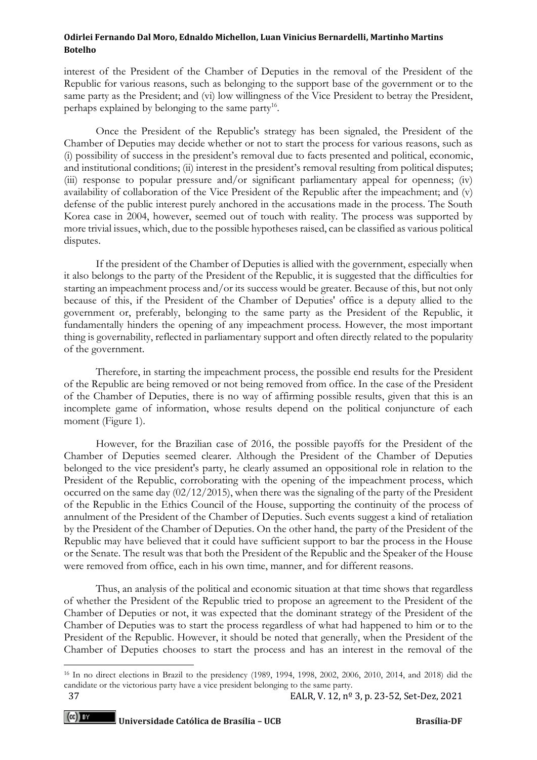interest of the President of the Chamber of Deputies in the removal of the President of the Republic for various reasons, such as belonging to the support base of the government or to the same party as the President; and (vi) low willingness of the Vice President to betray the President, perhaps explained by belonging to the same party<sup>16</sup>.

Once the President of the Republic's strategy has been signaled, the President of the Chamber of Deputies may decide whether or not to start the process for various reasons, such as (i) possibility of success in the president's removal due to facts presented and political, economic, and institutional conditions; (ii) interest in the president's removal resulting from political disputes; (iii) response to popular pressure and/or significant parliamentary appeal for openness; (iv) availability of collaboration of the Vice President of the Republic after the impeachment; and (v) defense of the public interest purely anchored in the accusations made in the process. The South Korea case in 2004, however, seemed out of touch with reality. The process was supported by more trivial issues, which, due to the possible hypotheses raised, can be classified as various political disputes.

If the president of the Chamber of Deputies is allied with the government, especially when it also belongs to the party of the President of the Republic, it is suggested that the difficulties for starting an impeachment process and/or its success would be greater. Because of this, but not only because of this, if the President of the Chamber of Deputies' office is a deputy allied to the government or, preferably, belonging to the same party as the President of the Republic, it fundamentally hinders the opening of any impeachment process. However, the most important thing is governability, reflected in parliamentary support and often directly related to the popularity of the government.

Therefore, in starting the impeachment process, the possible end results for the President of the Republic are being removed or not being removed from office. In the case of the President of the Chamber of Deputies, there is no way of affirming possible results, given that this is an incomplete game of information, whose results depend on the political conjuncture of each moment (Figure 1).

However, for the Brazilian case of 2016, the possible payoffs for the President of the Chamber of Deputies seemed clearer. Although the President of the Chamber of Deputies belonged to the vice president's party, he clearly assumed an oppositional role in relation to the President of the Republic, corroborating with the opening of the impeachment process, which occurred on the same day (02/12/2015), when there was the signaling of the party of the President of the Republic in the Ethics Council of the House, supporting the continuity of the process of annulment of the President of the Chamber of Deputies. Such events suggest a kind of retaliation by the President of the Chamber of Deputies. On the other hand, the party of the President of the Republic may have believed that it could have sufficient support to bar the process in the House or the Senate. The result was that both the President of the Republic and the Speaker of the House were removed from office, each in his own time, manner, and for different reasons.

Thus, an analysis of the political and economic situation at that time shows that regardless of whether the President of the Republic tried to propose an agreement to the President of the Chamber of Deputies or not, it was expected that the dominant strategy of the President of the Chamber of Deputies was to start the process regardless of what had happened to him or to the President of the Republic. However, it should be noted that generally, when the President of the Chamber of Deputies chooses to start the process and has an interest in the removal of the

<sup>16</sup> In no direct elections in Brazil to the presidency (1989, 1994, 1998, 2002, 2006, 2010, 2014, and 2018) did the candidate or the victorious party have a vice president belonging to the same party.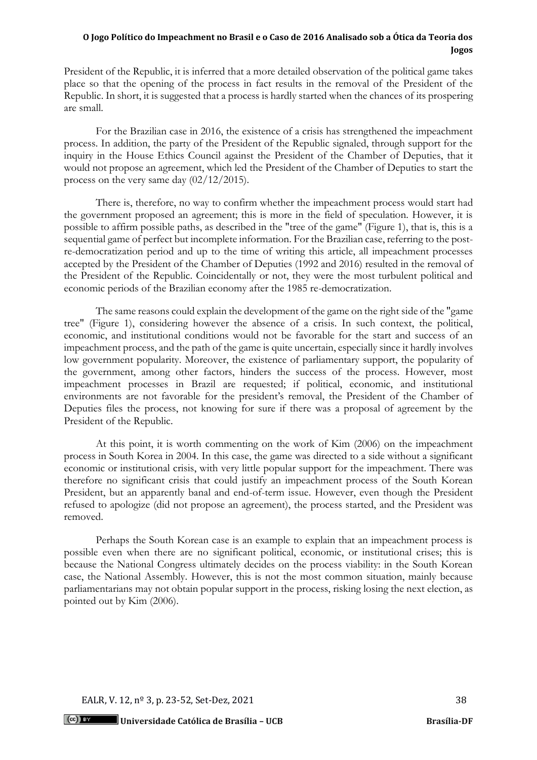President of the Republic, it is inferred that a more detailed observation of the political game takes place so that the opening of the process in fact results in the removal of the President of the Republic. In short, it is suggested that a process is hardly started when the chances of its prospering are small.

For the Brazilian case in 2016, the existence of a crisis has strengthened the impeachment process. In addition, the party of the President of the Republic signaled, through support for the inquiry in the House Ethics Council against the President of the Chamber of Deputies, that it would not propose an agreement, which led the President of the Chamber of Deputies to start the process on the very same day (02/12/2015).

There is, therefore, no way to confirm whether the impeachment process would start had the government proposed an agreement; this is more in the field of speculation. However, it is possible to affirm possible paths, as described in the "tree of the game" (Figure 1), that is, this is a sequential game of perfect but incomplete information. For the Brazilian case, referring to the postre-democratization period and up to the time of writing this article, all impeachment processes accepted by the President of the Chamber of Deputies (1992 and 2016) resulted in the removal of the President of the Republic. Coincidentally or not, they were the most turbulent political and economic periods of the Brazilian economy after the 1985 re-democratization.

The same reasons could explain the development of the game on the right side of the "game tree" (Figure 1), considering however the absence of a crisis. In such context, the political, economic, and institutional conditions would not be favorable for the start and success of an impeachment process, and the path of the game is quite uncertain, especially since it hardly involves low government popularity. Moreover, the existence of parliamentary support, the popularity of the government, among other factors, hinders the success of the process. However, most impeachment processes in Brazil are requested; if political, economic, and institutional environments are not favorable for the president's removal, the President of the Chamber of Deputies files the process, not knowing for sure if there was a proposal of agreement by the President of the Republic.

At this point, it is worth commenting on the work of Kim (2006) on the impeachment process in South Korea in 2004. In this case, the game was directed to a side without a significant economic or institutional crisis, with very little popular support for the impeachment. There was therefore no significant crisis that could justify an impeachment process of the South Korean President, but an apparently banal and end-of-term issue. However, even though the President refused to apologize (did not propose an agreement), the process started, and the President was removed.

Perhaps the South Korean case is an example to explain that an impeachment process is possible even when there are no significant political, economic, or institutional crises; this is because the National Congress ultimately decides on the process viability: in the South Korean case, the National Assembly. However, this is not the most common situation, mainly because parliamentarians may not obtain popular support in the process, risking losing the next election, as pointed out by Kim (2006).

EALR, V. 12, n<sup>o</sup> 3, p. 23-52, Set-Dez, 2021 38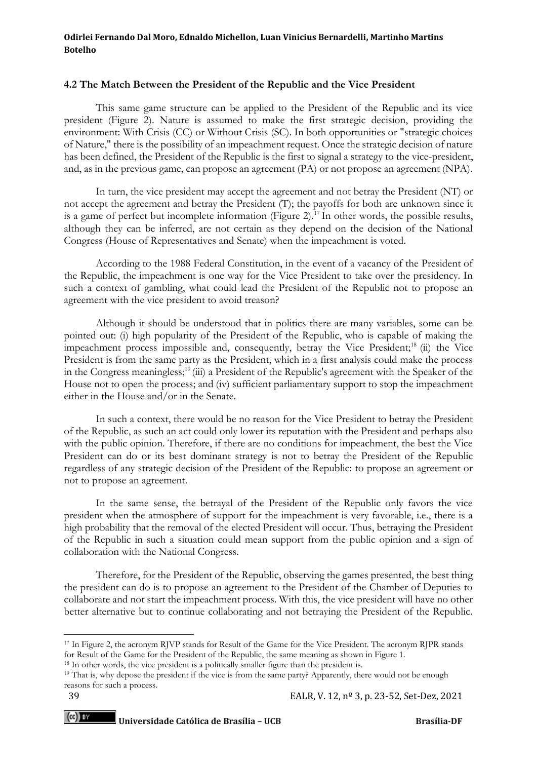#### **4.2 The Match Between the President of the Republic and the Vice President**

This same game structure can be applied to the President of the Republic and its vice president (Figure 2). Nature is assumed to make the first strategic decision, providing the environment: With Crisis (CC) or Without Crisis (SC). In both opportunities or "strategic choices of Nature," there is the possibility of an impeachment request. Once the strategic decision of nature has been defined, the President of the Republic is the first to signal a strategy to the vice-president, and, as in the previous game, can propose an agreement (PA) or not propose an agreement (NPA).

In turn, the vice president may accept the agreement and not betray the President (NT) or not accept the agreement and betray the President (T); the payoffs for both are unknown since it is a game of perfect but incomplete information (Figure 2).<sup>17</sup> In other words, the possible results, although they can be inferred, are not certain as they depend on the decision of the National Congress (House of Representatives and Senate) when the impeachment is voted.

According to the 1988 Federal Constitution, in the event of a vacancy of the President of the Republic, the impeachment is one way for the Vice President to take over the presidency. In such a context of gambling, what could lead the President of the Republic not to propose an agreement with the vice president to avoid treason?

Although it should be understood that in politics there are many variables, some can be pointed out: (i) high popularity of the President of the Republic, who is capable of making the impeachment process impossible and, consequently, betray the Vice President;<sup>18</sup> (ii) the Vice President is from the same party as the President, which in a first analysis could make the process in the Congress meaningless;<sup>19</sup> (iii) a President of the Republic's agreement with the Speaker of the House not to open the process; and (iv) sufficient parliamentary support to stop the impeachment either in the House and/or in the Senate.

In such a context, there would be no reason for the Vice President to betray the President of the Republic, as such an act could only lower its reputation with the President and perhaps also with the public opinion. Therefore, if there are no conditions for impeachment, the best the Vice President can do or its best dominant strategy is not to betray the President of the Republic regardless of any strategic decision of the President of the Republic: to propose an agreement or not to propose an agreement.

In the same sense, the betrayal of the President of the Republic only favors the vice president when the atmosphere of support for the impeachment is very favorable, i.e., there is a high probability that the removal of the elected President will occur. Thus, betraying the President of the Republic in such a situation could mean support from the public opinion and a sign of collaboration with the National Congress.

Therefore, for the President of the Republic, observing the games presented, the best thing the president can do is to propose an agreement to the President of the Chamber of Deputies to collaborate and not start the impeachment process. With this, the vice president will have no other better alternative but to continue collaborating and not betraying the President of the Republic.

<sup>17</sup> In Figure 2, the acronym RJVP stands for Result of the Game for the Vice President. The acronym RJPR stands for Result of the Game for the President of the Republic, the same meaning as shown in Figure 1.

<sup>&</sup>lt;sup>18</sup> In other words, the vice president is a politically smaller figure than the president is.

<sup>19</sup> That is, why depose the president if the vice is from the same party? Apparently, there would not be enough reasons for such a process.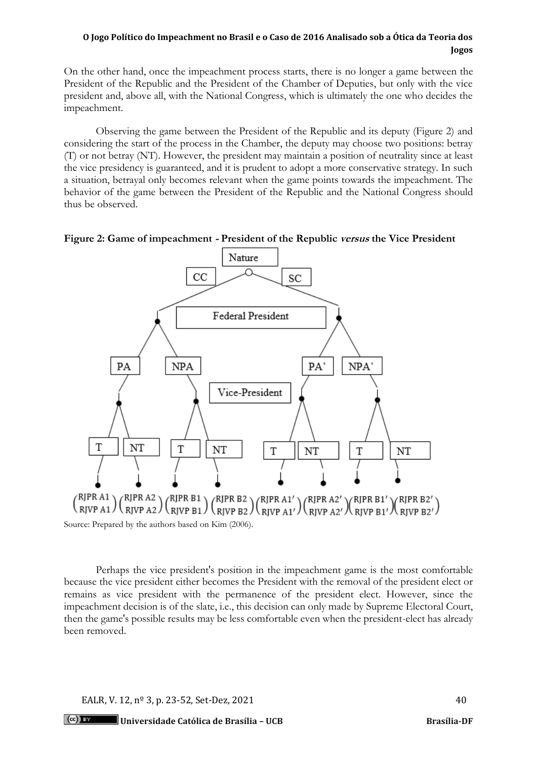On the other hand, once the impeachment process starts, there is no longer a game between the President of the Republic and the President of the Chamber of Deputies, but only with the vice president and, above all, with the National Congress, which is ultimately the one who decides the impeachment.

Observing the game between the President of the Republic and its deputy (Figure 2) and considering the start of the process in the Chamber, the deputy may choose two positions: betray (T) or not betray (NT). However, the president may maintain a position of neutrality since at least the vice presidency is guaranteed, and it is prudent to adopt a more conservative strategy. In such a situation, betrayal only becomes relevant when the game points towards the impeachment. The behavior of the game between the President of the Republic and the National Congress should thus be observed.





 ${{\mathsf{RIPR}\, {\rm A1}}\choose {\rm RJVP\, {\rm A1}}} {{\mathsf{RIPR}\, {\rm A2}}\choose {\rm RJVP\, {\rm A2}}} {{\mathsf{RIPR}\, {\rm B1}}\choose {\rm RJVP\, {\rm B1}}} {{\mathsf{RIPR}\, {\rm B2}}\choose {\rm RJVP\, {\rm A1'}}} {{\mathsf{RIPR}\, {\rm A2'}}\choose {\rm RJVP\, {\rm A2'}}} {{\mathsf{RIPR}\, {\rm B1'}}\choose {\rm RJVP\, {\rm B1'}}} {{\mathsf{RIPR}\, {\rm B2'}}\choose {\rm RJVP\, {\rm B2'}}}$ Source: Prepared by the authors based on Kim (2006).

Perhaps the vice president's position in the impeachment game is the most comfortable because the vice president either becomes the President with the removal of the president elect or remains as vice president with the permanence of the president elect. However, since the impeachment decision is of the slate, i.e., this decision can only made by Supreme Electoral Court, then the game's possible results may be less comfortable even when the president-elect has already been removed.

EALR, V. 12,  $n^{\circ}$  3, p. 23-52, Set-Dez, 2021 40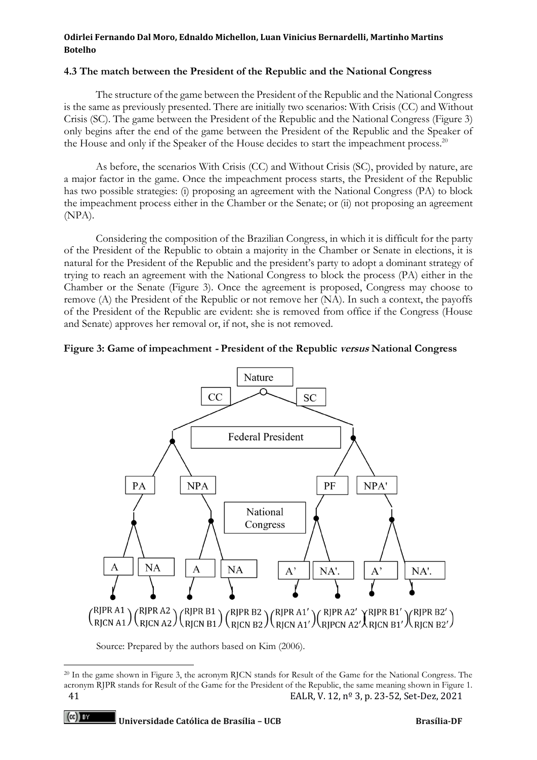#### **4.3 The match between the President of the Republic and the National Congress**

The structure of the game between the President of the Republic and the National Congress is the same as previously presented. There are initially two scenarios: With Crisis (CC) and Without Crisis (SC). The game between the President of the Republic and the National Congress (Figure 3) only begins after the end of the game between the President of the Republic and the Speaker of the House and only if the Speaker of the House decides to start the impeachment process.<sup>20</sup>

As before, the scenarios With Crisis (CC) and Without Crisis (SC), provided by nature, are a major factor in the game. Once the impeachment process starts, the President of the Republic has two possible strategies: (i) proposing an agreement with the National Congress (PA) to block the impeachment process either in the Chamber or the Senate; or (ii) not proposing an agreement (NPA).

Considering the composition of the Brazilian Congress, in which it is difficult for the party of the President of the Republic to obtain a majority in the Chamber or Senate in elections, it is natural for the President of the Republic and the president's party to adopt a dominant strategy of trying to reach an agreement with the National Congress to block the process (PA) either in the Chamber or the Senate (Figure 3). Once the agreement is proposed, Congress may choose to remove (A) the President of the Republic or not remove her (NA). In such a context, the payoffs of the President of the Republic are evident: she is removed from office if the Congress (House and Senate) approves her removal or, if not, she is not removed.

#### **Figure 3: Game of impeachment - President of the Republic versus National Congress**



 $\binom{RJPR\ A1}{RJCN\ A1}$  $\binom{RJPR\ A2}{RJCN\ A2}$  $\binom{RJPR\ B1}{RJCN\ B1}$  $\binom{RJPR\ B2}{RJCN\ B2}$  $\binom{RJPR\ A1'}{RJCN\ A1'}$  $\binom{RJPR\ A2'}{RJCN\ A2'}$  $\binom{RJPR\ B1'}{RJCN\ B2'}$ 

Source: Prepared by the authors based on Kim (2006).

<sup>41</sup> EALR, V. 12, nº 3, p. 23-52, Set-Dez, 2021 <sup>20</sup> In the game shown in Figure 3, the acronym RJCN stands for Result of the Game for the National Congress. The acronym RJPR stands for Result of the Game for the President of the Republic, the same meaning shown in Figure 1.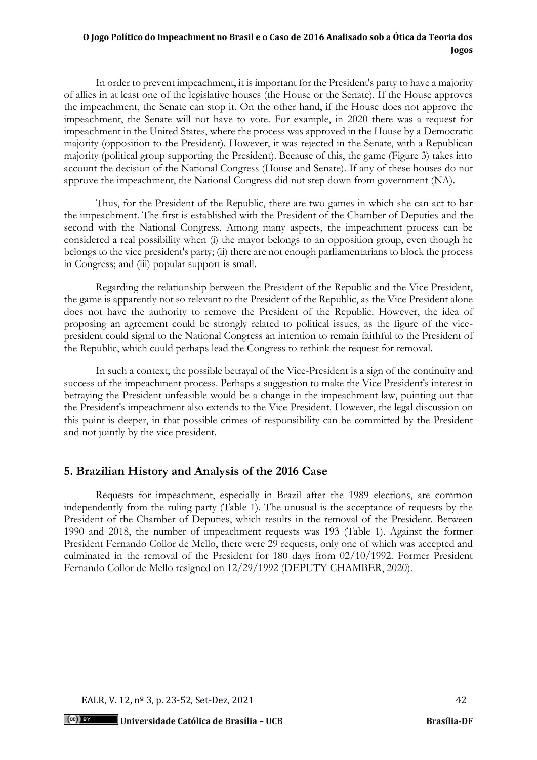In order to prevent impeachment, it is important for the President's party to have a majority of allies in at least one of the legislative houses (the House or the Senate). If the House approves the impeachment, the Senate can stop it. On the other hand, if the House does not approve the impeachment, the Senate will not have to vote. For example, in 2020 there was a request for impeachment in the United States, where the process was approved in the House by a Democratic majority (opposition to the President). However, it was rejected in the Senate, with a Republican majority (political group supporting the President). Because of this, the game (Figure 3) takes into account the decision of the National Congress (House and Senate). If any of these houses do not approve the impeachment, the National Congress did not step down from government (NA).

Thus, for the President of the Republic, there are two games in which she can act to bar the impeachment. The first is established with the President of the Chamber of Deputies and the second with the National Congress. Among many aspects, the impeachment process can be considered a real possibility when (i) the mayor belongs to an opposition group, even though he belongs to the vice president's party; (ii) there are not enough parliamentarians to block the process in Congress; and (iii) popular support is small.

Regarding the relationship between the President of the Republic and the Vice President, the game is apparently not so relevant to the President of the Republic, as the Vice President alone does not have the authority to remove the President of the Republic. However, the idea of proposing an agreement could be strongly related to political issues, as the figure of the vicepresident could signal to the National Congress an intention to remain faithful to the President of the Republic, which could perhaps lead the Congress to rethink the request for removal.

In such a context, the possible betrayal of the Vice-President is a sign of the continuity and success of the impeachment process. Perhaps a suggestion to make the Vice President's interest in betraying the President unfeasible would be a change in the impeachment law, pointing out that the President's impeachment also extends to the Vice President. However, the legal discussion on this point is deeper, in that possible crimes of responsibility can be committed by the President and not jointly by the vice president.

## **5. Brazilian History and Analysis of the 2016 Case**

Requests for impeachment, especially in Brazil after the 1989 elections, are common independently from the ruling party (Table 1). The unusual is the acceptance of requests by the President of the Chamber of Deputies, which results in the removal of the President. Between 1990 and 2018, the number of impeachment requests was 193 (Table 1). Against the former President Fernando Collor de Mello, there were 29 requests, only one of which was accepted and culminated in the removal of the President for 180 days from 02/10/1992. Former President Fernando Collor de Mello resigned on 12/29/1992 (DEPUTY CHAMBER, 2020).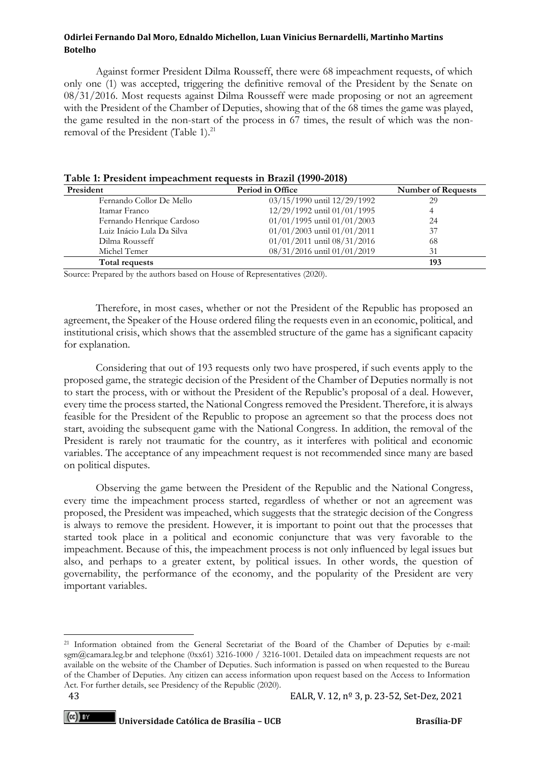Against former President Dilma Rousseff, there were 68 impeachment requests, of which only one (1) was accepted, triggering the definitive removal of the President by the Senate on 08/31/2016. Most requests against Dilma Rousseff were made proposing or not an agreement with the President of the Chamber of Deputies, showing that of the 68 times the game was played, the game resulted in the non-start of the process in 67 times, the result of which was the nonremoval of the President (Table 1).<sup>21</sup>

| President                 | Period in Office                | <b>Number of Requests</b> |  |
|---------------------------|---------------------------------|---------------------------|--|
| Fernando Collor De Mello  | 03/15/1990 until 12/29/1992     | 29                        |  |
| Itamar Franco             | 12/29/1992 until 01/01/1995     |                           |  |
| Fernando Henrique Cardoso | 01/01/1995 until 01/01/2003     | 24                        |  |
| Luiz Inácio Lula Da Silva | 01/01/2003 until 01/01/2011     | 37                        |  |
| Dilma Rousseff            | $01/01/2011$ until $08/31/2016$ | 68                        |  |
| Michel Temer              | 08/31/2016 until 01/01/2019     | 31                        |  |
| <b>Total requests</b>     |                                 | 193                       |  |

|  | Table 1: President impeachment requests in Brazil (1990-2018) |  |  |
|--|---------------------------------------------------------------|--|--|
|  |                                                               |  |  |

Source: Prepared by the authors based on House of Representatives (2020).

Therefore, in most cases, whether or not the President of the Republic has proposed an agreement, the Speaker of the House ordered filing the requests even in an economic, political, and institutional crisis, which shows that the assembled structure of the game has a significant capacity for explanation.

Considering that out of 193 requests only two have prospered, if such events apply to the proposed game, the strategic decision of the President of the Chamber of Deputies normally is not to start the process, with or without the President of the Republic's proposal of a deal. However, every time the process started, the National Congress removed the President. Therefore, it is always feasible for the President of the Republic to propose an agreement so that the process does not start, avoiding the subsequent game with the National Congress. In addition, the removal of the President is rarely not traumatic for the country, as it interferes with political and economic variables. The acceptance of any impeachment request is not recommended since many are based on political disputes.

Observing the game between the President of the Republic and the National Congress, every time the impeachment process started, regardless of whether or not an agreement was proposed, the President was impeached, which suggests that the strategic decision of the Congress is always to remove the president. However, it is important to point out that the processes that started took place in a political and economic conjuncture that was very favorable to the impeachment. Because of this, the impeachment process is not only influenced by legal issues but also, and perhaps to a greater extent, by political issues. In other words, the question of governability, the performance of the economy, and the popularity of the President are very important variables.

<sup>21</sup> Information obtained from the General Secretariat of the Board of the Chamber of Deputies by e-mail: sgm@camara.leg.br and telephone (0xx61) 3216-1000 / 3216-1001. Detailed data on impeachment requests are not available on the website of the Chamber of Deputies. Such information is passed on when requested to the Bureau of the Chamber of Deputies. Any citizen can access information upon request based on the Access to Information Act. For further details, see Presidency of the Republic (2020).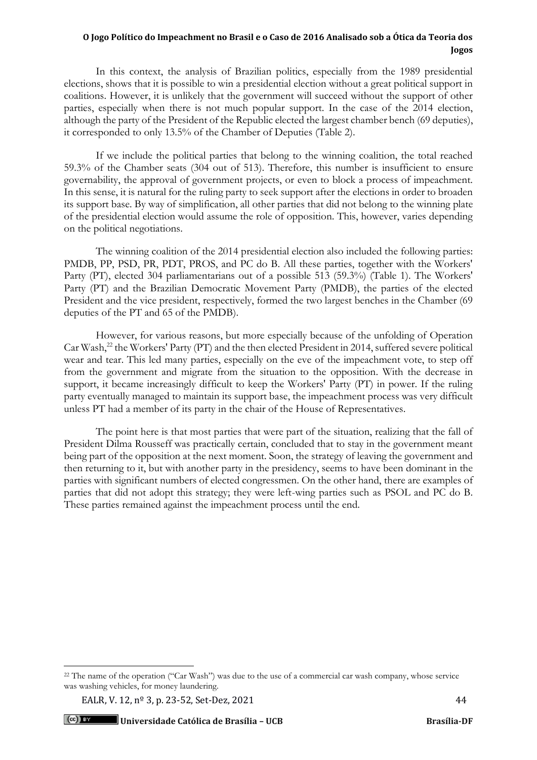In this context, the analysis of Brazilian politics, especially from the 1989 presidential elections, shows that it is possible to win a presidential election without a great political support in coalitions. However, it is unlikely that the government will succeed without the support of other parties, especially when there is not much popular support. In the case of the 2014 election, although the party of the President of the Republic elected the largest chamber bench (69 deputies), it corresponded to only 13.5% of the Chamber of Deputies (Table 2).

If we include the political parties that belong to the winning coalition, the total reached 59.3% of the Chamber seats (304 out of 513). Therefore, this number is insufficient to ensure governability, the approval of government projects, or even to block a process of impeachment. In this sense, it is natural for the ruling party to seek support after the elections in order to broaden its support base. By way of simplification, all other parties that did not belong to the winning plate of the presidential election would assume the role of opposition. This, however, varies depending on the political negotiations.

The winning coalition of the 2014 presidential election also included the following parties: PMDB, PP, PSD, PR, PDT, PROS, and PC do B. All these parties, together with the Workers' Party (PT), elected 304 parliamentarians out of a possible 513 (59.3%) (Table 1). The Workers' Party (PT) and the Brazilian Democratic Movement Party (PMDB), the parties of the elected President and the vice president, respectively, formed the two largest benches in the Chamber (69 deputies of the PT and 65 of the PMDB).

However, for various reasons, but more especially because of the unfolding of Operation Car Wash,<sup>22</sup> the Workers' Party (PT) and the then elected President in 2014, suffered severe political wear and tear. This led many parties, especially on the eve of the impeachment vote, to step off from the government and migrate from the situation to the opposition. With the decrease in support, it became increasingly difficult to keep the Workers' Party (PT) in power. If the ruling party eventually managed to maintain its support base, the impeachment process was very difficult unless PT had a member of its party in the chair of the House of Representatives.

The point here is that most parties that were part of the situation, realizing that the fall of President Dilma Rousseff was practically certain, concluded that to stay in the government meant being part of the opposition at the next moment. Soon, the strategy of leaving the government and then returning to it, but with another party in the presidency, seems to have been dominant in the parties with significant numbers of elected congressmen. On the other hand, there are examples of parties that did not adopt this strategy; they were left-wing parties such as PSOL and PC do B. These parties remained against the impeachment process until the end.

EALR, V. 12, n<sup>o</sup> 3, p. 23-52, Set-Dez, 2021 44

<sup>&</sup>lt;sup>22</sup> The name of the operation ("Car Wash") was due to the use of a commercial car wash company, whose service was washing vehicles, for money laundering.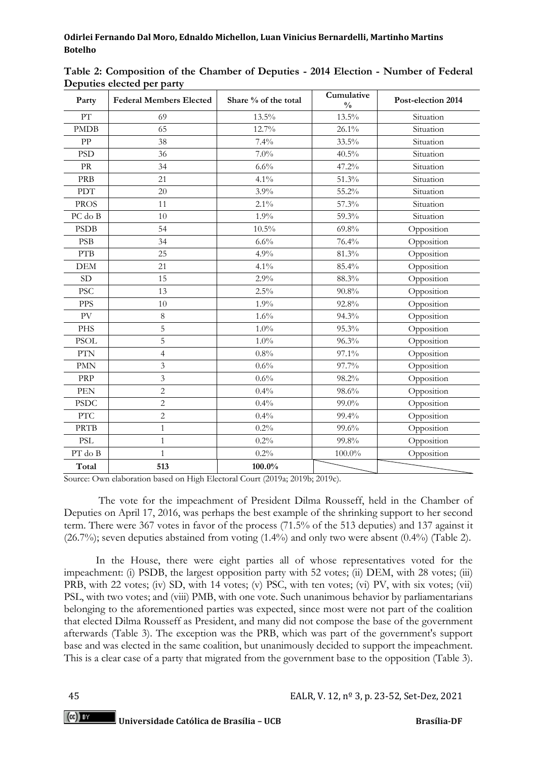| Party                             | <b>Federal Members Elected</b> | Share % of the total | Cumulative<br>$\frac{0}{0}$ | Post-election 2014 |
|-----------------------------------|--------------------------------|----------------------|-----------------------------|--------------------|
| PT                                | 69                             | 13.5%                | $13.5\%$                    | Situation          |
| <b>PMDB</b>                       | 65                             | 12.7%                | 26.1%                       | Situation          |
| PP                                | 38                             | 7.4%                 | 33.5%                       | Situation          |
| <b>PSD</b>                        | 36                             | $7.0\%$              | $40.5\%$                    | Situation          |
| $\ensuremath{\mathrm{PR}}\xspace$ | 34                             | 6.6%                 | 47.2%                       | Situation          |
| <b>PRB</b>                        | 21                             | 4.1%                 | 51.3%                       | Situation          |
| PDT                               | 20                             | 3.9%                 | 55.2%                       | Situation          |
| <b>PROS</b>                       | 11                             | $2.1\%$              | 57.3%                       | Situation          |
| PC do B                           | 10                             | 1.9%                 | 59.3%                       | Situation          |
| <b>PSDB</b>                       | 54                             | $10.5\%$             | 69.8%                       | Opposition         |
| <b>PSB</b>                        | 34                             | 6.6%                 | 76.4%                       | Opposition         |
| <b>PTB</b>                        | 25                             | 4.9%                 | 81.3%                       | Opposition         |
| <b>DEM</b>                        | 21                             | 4.1%                 | 85.4%                       | Opposition         |
| <b>SD</b>                         | 15                             | 2.9%                 | 88.3%                       | Opposition         |
| <b>PSC</b>                        | 13                             | 2.5%                 | 90.8%                       | Opposition         |
| <b>PPS</b>                        | 10                             | 1.9%                 | 92.8%                       | Opposition         |
| PV                                | $\,8\,$                        | 1.6%                 | 94.3%                       | Opposition         |
| PHS                               | 5                              | $1.0\%$              | 95.3%                       | Opposition         |
| <b>PSOL</b>                       | 5                              | 1.0%                 | 96.3%                       | Opposition         |
| PTN                               | $\overline{4}$                 | 0.8%                 | 97.1%                       | Opposition         |
| <b>PMN</b>                        | 3                              | 0.6%                 | 97.7%                       | Opposition         |
| PRP                               | 3                              | 0.6%                 | 98.2%                       | Opposition         |
| <b>PEN</b>                        | $\overline{c}$                 | 0.4%                 | 98.6%                       | Opposition         |
| <b>PSDC</b>                       | $\overline{c}$                 | 0.4%                 | 99.0%                       | Opposition         |
| <b>PTC</b>                        | $\overline{c}$                 | 0.4%                 | 99.4%                       | Opposition         |
| <b>PRTB</b>                       | $\mathbf{1}$                   | 0.2%                 | 99.6%                       | Opposition         |
| <b>PSL</b>                        | $\mathbf{1}$                   | 0.2%                 | 99.8%                       | Opposition         |
| PT do B                           | $\mathbf{1}$                   | 0.2%                 | $100.0\%$                   | Opposition         |
| Total                             | 513                            | $100.0\%$            |                             |                    |

**Table 2: Composition of the Chamber of Deputies - 2014 Election - Number of Federal Deputies elected per party** 

Source: Own elaboration based on High Electoral Court (2019a; 2019b; 2019c).

The vote for the impeachment of President Dilma Rousseff, held in the Chamber of Deputies on April 17, 2016, was perhaps the best example of the shrinking support to her second term. There were 367 votes in favor of the process (71.5% of the 513 deputies) and 137 against it (26.7%); seven deputies abstained from voting (1.4%) and only two were absent (0.4%) (Table 2).

In the House, there were eight parties all of whose representatives voted for the impeachment: (i) PSDB, the largest opposition party with 52 votes; (ii) DEM, with 28 votes; (iii) PRB, with 22 votes; (iv) SD, with 14 votes; (v) PSC, with ten votes; (vi) PV, with six votes; (vii) PSL, with two votes; and (viii) PMB, with one vote. Such unanimous behavior by parliamentarians belonging to the aforementioned parties was expected, since most were not part of the coalition that elected Dilma Rousseff as President, and many did not compose the base of the government afterwards (Table 3). The exception was the PRB, which was part of the government's support base and was elected in the same coalition, but unanimously decided to support the impeachment*.*  This is a clear case of a party that migrated from the government base to the opposition (Table 3).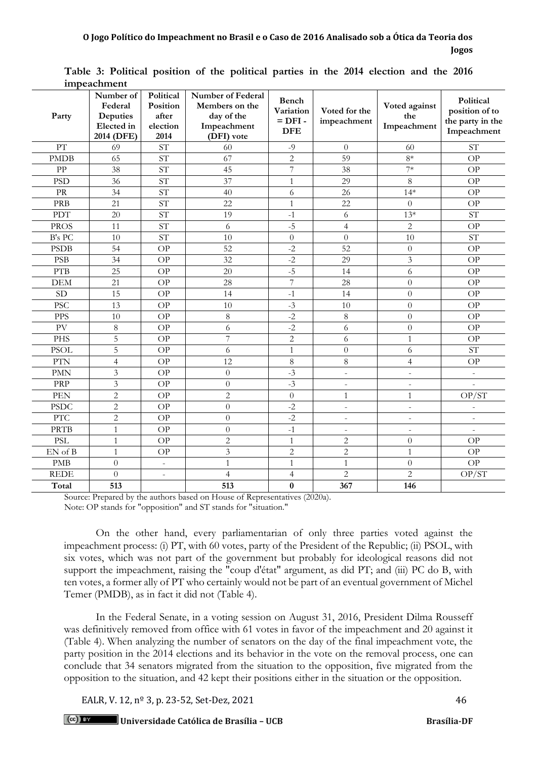|                  | тирсаенние                                                   |                                                    |                                                                                       |                                               |                              |                                     |                                                                |
|------------------|--------------------------------------------------------------|----------------------------------------------------|---------------------------------------------------------------------------------------|-----------------------------------------------|------------------------------|-------------------------------------|----------------------------------------------------------------|
| Party            | Number of<br>Federal<br>Deputies<br>Elected in<br>2014 (DFE) | Political<br>Position<br>after<br>election<br>2014 | <b>Number of Federal</b><br>Members on the<br>day of the<br>Impeachment<br>(DFI) vote | Bench<br>Variation<br>$=$ DFI -<br><b>DFE</b> | Voted for the<br>impeachment | Voted against<br>the<br>Impeachment | Political<br>position of to<br>the party in the<br>Impeachment |
| PT               | 69                                                           | <b>ST</b>                                          | 60                                                                                    | $-9$                                          | $\overline{0}$               | 60                                  | <b>ST</b>                                                      |
| <b>PMDB</b>      | 65                                                           | $\ensuremath{\mathrm{ST}}$                         | 67                                                                                    | $\overline{c}$                                | 59                           | $8*$                                | <b>OP</b>                                                      |
| PP               | 38                                                           | ST                                                 | 45                                                                                    | 7                                             | 38                           | $7*$                                | OP                                                             |
| <b>PSD</b>       | 36                                                           | <b>ST</b>                                          | 37                                                                                    | $\mathbf{1}$                                  | 29                           | 8                                   | OP                                                             |
| PR               | 34                                                           | <b>ST</b>                                          | 40                                                                                    | 6                                             | 26                           | $14*$                               | OP                                                             |
| PRB              | 21                                                           | <b>ST</b>                                          | 22                                                                                    | $\mathbf{1}$                                  | 22                           | $\theta$                            | OP                                                             |
| <b>PDT</b>       | 20                                                           | <b>ST</b>                                          | 19                                                                                    | $-1$                                          | 6                            | $13*$                               | <b>ST</b>                                                      |
| <b>PROS</b>      | 11                                                           | ST <sub></sub>                                     | 6                                                                                     | $-5$                                          | $\overline{4}$               | $\mathbf{2}$                        | OP                                                             |
| B's PC           | 10                                                           | $\overline{\text{ST}}$                             | 10                                                                                    | $\overline{0}$                                | $\overline{0}$               | 10                                  | $\overline{\text{ST}}$                                         |
| <b>PSDB</b>      | 54                                                           | <b>OP</b>                                          | 52                                                                                    | $-2$                                          | 52                           | $\theta$                            | <b>OP</b>                                                      |
| <b>PSB</b>       | 34                                                           | OP                                                 | $\overline{32}$                                                                       | $-2$                                          | 29                           | $\overline{3}$                      | OP                                                             |
| ${\rm PTB}$      | 25                                                           | OP                                                 | 20                                                                                    | $-5$                                          | 14                           | 6                                   | OP                                                             |
| <b>DEM</b>       | 21                                                           | OP                                                 | 28                                                                                    | $\overline{7}$                                | 28                           | $\theta$                            | OP                                                             |
| <b>SD</b>        | 15                                                           | OP                                                 | 14                                                                                    | $-1$                                          | 14                           | $\overline{0}$                      | OP                                                             |
| <b>PSC</b>       | 13                                                           | <b>OP</b>                                          | 10                                                                                    | $-3$                                          | 10                           | $\overline{0}$                      | <b>OP</b>                                                      |
| <b>PPS</b>       | 10                                                           | OP                                                 | $8\,$                                                                                 | $-2$                                          | $\,8\,$                      | $\overline{0}$                      | <b>OP</b>                                                      |
| PV               | $\,8\,$                                                      | OP                                                 | 6                                                                                     | $-2$                                          | 6                            | $\overline{0}$                      | <b>OP</b>                                                      |
| <b>PHS</b>       | 5                                                            | OP                                                 | $\overline{7}$                                                                        | $\overline{c}$                                | 6                            | 1                                   | <b>OP</b>                                                      |
| <b>PSOL</b>      | 5                                                            | OP                                                 | 6                                                                                     | $\mathbf{1}$                                  | $\overline{0}$               | 6                                   | ST <sup></sup>                                                 |
| <b>PTN</b>       | $\overline{4}$                                               | OP                                                 | 12                                                                                    | 8                                             | 8                            | $\overline{4}$                      | OP                                                             |
| <b>PMN</b>       | 3                                                            | OP                                                 | $\theta$                                                                              | $-3$                                          | $\bar{\phantom{a}}$          |                                     | $\overline{a}$                                                 |
| PRP              | $\overline{3}$                                               | <b>OP</b>                                          | $\overline{0}$                                                                        | $-3$                                          | $\overline{\phantom{a}}$     |                                     |                                                                |
| <b>PEN</b>       | $\overline{2}$                                               | OP                                                 | $\overline{c}$                                                                        | $\overline{0}$                                | $\mathbf{1}$                 | $\mathbf{1}$                        | OP/ST                                                          |
| <b>PSDC</b>      | $\overline{2}$                                               | $\overline{OP}$                                    | $\overline{0}$                                                                        | $-2$                                          | $\sim$                       |                                     |                                                                |
| $PT\overline{C}$ | $\overline{2}$                                               | <b>OP</b>                                          | $\overline{0}$                                                                        | $-2$                                          | $\blacksquare$               | ÷.                                  |                                                                |
| <b>PRTB</b>      | $\mathbf{1}$                                                 | OP                                                 | $\overline{0}$                                                                        | $-1$                                          | $\overline{a}$               |                                     |                                                                |
| <b>PSL</b>       | $\mathbf{1}$                                                 | OP                                                 | $\overline{2}$                                                                        | $\mathbf{1}$                                  | $\overline{c}$               | $\theta$                            | OP                                                             |
| EN of B          | $\mathbf{1}$                                                 | OP                                                 | 3                                                                                     | $\overline{2}$                                | $\overline{c}$               | $\mathbf{1}$                        | OP                                                             |
| <b>PMB</b>       | $\overline{0}$                                               | $\blacksquare$                                     | $\mathbf{1}$                                                                          | $\mathbf{1}$                                  | $\mathbf{1}$                 | $\boldsymbol{0}$                    | OP                                                             |
| <b>REDE</b>      | $\overline{0}$                                               | $\overline{\phantom{a}}$                           | $\overline{4}$                                                                        | $\overline{4}$                                | $\overline{2}$               | $\overline{2}$                      | OP/ST                                                          |
| Total            | 513                                                          |                                                    | 513                                                                                   | $\bf{0}$                                      | 367                          | 146                                 |                                                                |

**Table 3: Political position of the political parties in the 2014 election and the 2016 impeachment** 

Source: Prepared by the authors based on House of Representatives (2020a). Note: OP stands for "opposition" and ST stands for "situation."

On the other hand, every parliamentarian of only three parties voted against the impeachment process: (i) PT, with 60 votes, party of the President of the Republic; (ii) PSOL, with six votes, which was not part of the government but probably for ideological reasons did not support the impeachment, raising the "coup d'état" argument, as did PT; and (iii) PC do B, with ten votes, a former ally of PT who certainly would not be part of an eventual government of Michel Temer (PMDB), as in fact it did not (Table 4).

In the Federal Senate, in a voting session on August 31, 2016, President Dilma Rousseff was definitively removed from office with 61 votes in favor of the impeachment and 20 against it (Table 4). When analyzing the number of senators on the day of the final impeachment vote, the party position in the 2014 elections and its behavior in the vote on the removal process, one can conclude that 34 senators migrated from the situation to the opposition, five migrated from the opposition to the situation, and 42 kept their positions either in the situation or the opposition.

EALR, V. 12, n<sup>o</sup> 3, p. 23-52, Set-Dez, 2021 46

**Universidade Católica de Brasília – UCB Brasília-DF**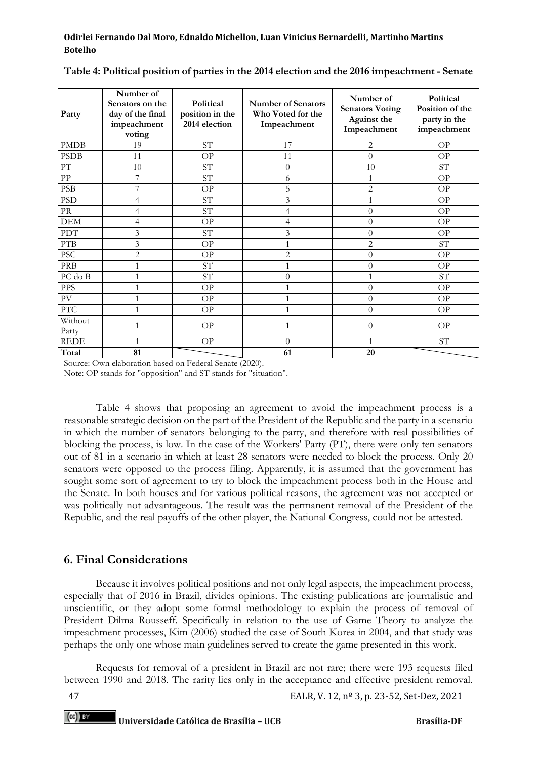| Party                                            | Number of<br>Senators on the<br>day of the final<br>impeachment<br>voting | Political<br>position in the<br>2014 election | <b>Number of Senators</b><br>Who Voted for the<br>Impeachment | Number of<br><b>Senators Voting</b><br>Against the<br>Impeachment | Political<br>Position of the<br>party in the<br>impeachment |
|--------------------------------------------------|---------------------------------------------------------------------------|-----------------------------------------------|---------------------------------------------------------------|-------------------------------------------------------------------|-------------------------------------------------------------|
| <b>PMDB</b>                                      | 19                                                                        | $\ensuremath{\mathrm{ST}}$                    | 17                                                            | 2                                                                 | OP                                                          |
| <b>PSDB</b>                                      | 11                                                                        | OP                                            | 11                                                            | $\theta$                                                          | OP                                                          |
| ${\rm PT}$                                       | 10                                                                        | $\ensuremath{\mathrm{ST}}$                    | $\theta$                                                      | 10                                                                | ST                                                          |
| ${\rm PP}$                                       | 7                                                                         | $\ensuremath{\mathrm{ST}}$                    | 6                                                             |                                                                   | OP                                                          |
| <b>PSB</b>                                       | 7                                                                         | OP                                            | 5                                                             | $\overline{2}$                                                    | OP                                                          |
| <b>PSD</b>                                       | 4                                                                         | $\ensuremath{\mathrm{ST}}$                    | 3                                                             |                                                                   | OP                                                          |
| PR                                               | 4                                                                         | ST <sup></sup>                                | 4                                                             | $\theta$                                                          | OP                                                          |
| DEM                                              | 4                                                                         | OP                                            | 4                                                             | $\overline{0}$                                                    | OP                                                          |
| <b>PDT</b>                                       | 3                                                                         | ST                                            | 3                                                             | $\theta$                                                          | OP                                                          |
| <b>PTB</b>                                       | 3                                                                         | OP                                            | 1                                                             | $\overline{2}$                                                    | ST                                                          |
| PSC                                              | $\overline{2}$                                                            | OP                                            | $\overline{2}$                                                | $\theta$                                                          | OP                                                          |
| PRB                                              | 1                                                                         | $\ensuremath{\mathrm{ST}}$                    | 1                                                             | $\overline{0}$                                                    | OP                                                          |
| PC do B                                          | 1                                                                         | $\ensuremath{\mathrm{ST}}$                    | $\theta$                                                      | 1                                                                 | ST                                                          |
| <b>PPS</b>                                       | 1                                                                         | OP                                            | 1                                                             | $\overline{0}$                                                    | OP                                                          |
| PV                                               | 1                                                                         | OP                                            | $\mathbf{1}$                                                  | $\theta$                                                          | OP                                                          |
| $\ensuremath{\mathcal{P}\mathcal{T}\mathcal{C}}$ |                                                                           | OP                                            | 1                                                             | $\theta$                                                          | OP                                                          |
| Without<br>Party                                 |                                                                           | OP                                            | 1                                                             | $\overline{0}$                                                    | OP                                                          |
| <b>REDE</b>                                      | 1                                                                         | OP                                            | $\theta$                                                      | 1                                                                 | <b>ST</b>                                                   |
| Total                                            | 81                                                                        |                                               | 61                                                            | 20                                                                |                                                             |

#### **Table 4: Political position of parties in the 2014 election and the 2016 impeachment - Senate**

Source: Own elaboration based on Federal Senate (2020).

Note: OP stands for "opposition" and ST stands for "situation".

Table 4 shows that proposing an agreement to avoid the impeachment process is a reasonable strategic decision on the part of the President of the Republic and the party in a scenario in which the number of senators belonging to the party, and therefore with real possibilities of blocking the process, is low. In the case of the Workers' Party (PT), there were only ten senators out of 81 in a scenario in which at least 28 senators were needed to block the process. Only 20 senators were opposed to the process filing. Apparently, it is assumed that the government has sought some sort of agreement to try to block the impeachment process both in the House and the Senate. In both houses and for various political reasons, the agreement was not accepted or was politically not advantageous. The result was the permanent removal of the President of the Republic, and the real payoffs of the other player, the National Congress, could not be attested.

## **6. Final Considerations**

Because it involves political positions and not only legal aspects, the impeachment process, especially that of 2016 in Brazil, divides opinions. The existing publications are journalistic and unscientific, or they adopt some formal methodology to explain the process of removal of President Dilma Rousseff. Specifically in relation to the use of Game Theory to analyze the impeachment processes, Kim (2006) studied the case of South Korea in 2004, and that study was perhaps the only one whose main guidelines served to create the game presented in this work.

Requests for removal of a president in Brazil are not rare; there were 193 requests filed between 1990 and 2018. The rarity lies only in the acceptance and effective president removal.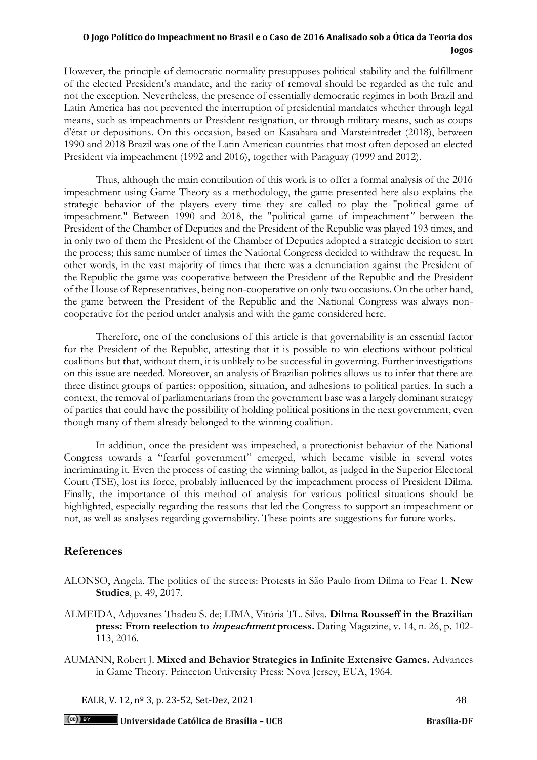However, the principle of democratic normality presupposes political stability and the fulfillment of the elected President's mandate, and the rarity of removal should be regarded as the rule and not the exception. Nevertheless, the presence of essentially democratic regimes in both Brazil and Latin America has not prevented the interruption of presidential mandates whether through legal means, such as impeachments or President resignation, or through military means, such as coups d'état or depositions. On this occasion, based on Kasahara and Marsteintredet (2018), between 1990 and 2018 Brazil was one of the Latin American countries that most often deposed an elected President via impeachment (1992 and 2016), together with Paraguay (1999 and 2012).

Thus, although the main contribution of this work is to offer a formal analysis of the 2016 impeachment using Game Theory as a methodology, the game presented here also explains the strategic behavior of the players every time they are called to play the "political game of impeachment." Between 1990 and 2018, the "political game of impeachment*"* between the President of the Chamber of Deputies and the President of the Republic was played 193 times, and in only two of them the President of the Chamber of Deputies adopted a strategic decision to start the process; this same number of times the National Congress decided to withdraw the request. In other words, in the vast majority of times that there was a denunciation against the President of the Republic the game was cooperative between the President of the Republic and the President of the House of Representatives, being non-cooperative on only two occasions. On the other hand, the game between the President of the Republic and the National Congress was always noncooperative for the period under analysis and with the game considered here.

Therefore, one of the conclusions of this article is that governability is an essential factor for the President of the Republic, attesting that it is possible to win elections without political coalitions but that, without them, it is unlikely to be successful in governing. Further investigations on this issue are needed. Moreover, an analysis of Brazilian politics allows us to infer that there are three distinct groups of parties: opposition, situation, and adhesions to political parties. In such a context, the removal of parliamentarians from the government base was a largely dominant strategy of parties that could have the possibility of holding political positions in the next government, even though many of them already belonged to the winning coalition.

In addition, once the president was impeached, a protectionist behavior of the National Congress towards a "fearful government" emerged, which became visible in several votes incriminating it. Even the process of casting the winning ballot, as judged in the Superior Electoral Court (TSE), lost its force, probably influenced by the impeachment process of President Dilma. Finally, the importance of this method of analysis for various political situations should be highlighted, especially regarding the reasons that led the Congress to support an impeachment or not, as well as analyses regarding governability. These points are suggestions for future works.

## **References**

- ALONSO, Angela. The politics of the streets: Protests in São Paulo from Dilma to Fear 1. **New Studies**, p. 49, 2017.
- ALMEIDA, Adjovanes Thadeu S. de; LIMA, Vitória TL. Silva. **Dilma Rousseff in the Brazilian press: From reelection to impeachment process.** Dating Magazine, v. 14, n. 26, p. 102- 113, 2016.
- AUMANN, Robert J. **Mixed and Behavior Strategies in Infinite Extensive Games.** Advances in Game Theory. Princeton University Press: Nova Jersey, EUA, 1964.

EALR, V. 12, n<sup>o</sup> 3, p. 23-52, Set-Dez, 2021 48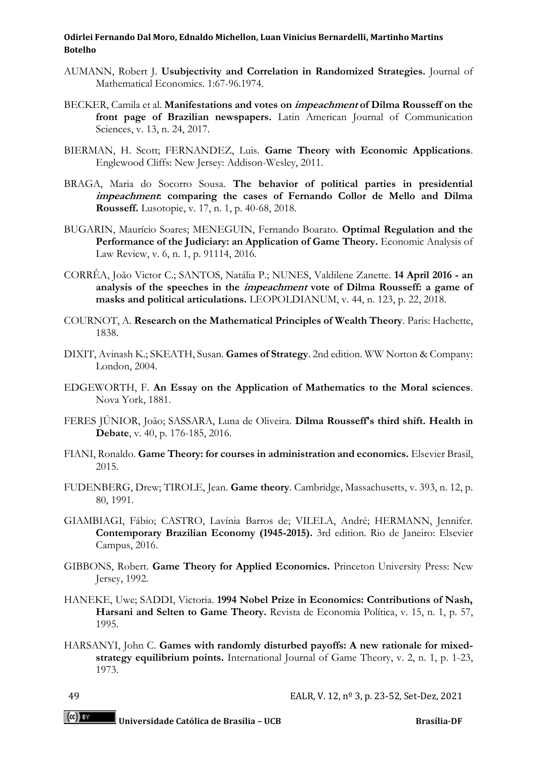- AUMANN, Robert J. **Usubjectivity and Correlation in Randomized Strategies.** Journal of Mathematical Economics. 1:67-96.1974.
- BECKER, Camila et al. **Manifestations and votes on impeachment of Dilma Rousseff on the front page of Brazilian newspapers.** Latin American Journal of Communication Sciences, v. 13, n. 24, 2017.
- BIERMAN, H. Scott; FERNANDEZ, Luis. **Game Theory with Economic Applications**. Englewood Cliffs: New Jersey: Addison-Wesley, 2011.
- BRAGA, Maria do Socorro Sousa. **The behavior of political parties in presidential impeachment: comparing the cases of Fernando Collor de Mello and Dilma Rousseff.** Lusotopie, v. 17, n. 1, p. 40-68, 2018.
- BUGARIN, Maurício Soares; MENEGUIN, Fernando Boarato. **Optimal Regulation and the Performance of the Judiciary: an Application of Game Theory.** Economic Analysis of Law Review, v. 6, n. 1, p. 91114, 2016.
- CORRÊA, João Victor C.; SANTOS, Natália P.; NUNES, Valdilene Zanette. **14 April 2016 - an analysis of the speeches in the impeachment vote of Dilma Rousseff: a game of masks and political articulations.** LEOPOLDIANUM, v. 44, n. 123, p. 22, 2018.
- COURNOT, A. **Research on the Mathematical Principles of Wealth Theory**. Paris: Hachette, 1838.
- DIXIT, Avinash K.; SKEATH, Susan. **Games of Strategy**. 2nd edition. WW Norton & Company: London, 2004.
- EDGEWORTH, F. **An Essay on the Application of Mathematics to the Moral sciences**. Nova York, 1881.
- FERES JÚNIOR, João; SASSARA, Luna de Oliveira. **Dilma Rousseff's third shift. Health in Debate**, v. 40, p. 176-185, 2016.
- FIANI, Ronaldo. **Game Theory: for courses in administration and economics.** Elsevier Brasil, 2015.
- FUDENBERG, Drew; TIROLE, Jean. **Game theory**. Cambridge, Massachusetts, v. 393, n. 12, p. 80, 1991.
- GIAMBIAGI, Fábio; CASTRO, Lavínia Barros de; VILELA, André; HERMANN, Jennifer. **Contemporary Brazilian Economy (1945-2015).** 3rd edition. Rio de Janeiro: Elsevier Campus, 2016.
- GIBBONS, Robert. **Game Theory for Applied Economics.** Princeton University Press: New Jersey, 1992.
- HANEKE, Uwe; SADDI, Victoria. **1994 Nobel Prize in Economics: Contributions of Nash, Harsani and Selten to Game Theory.** Revista de Economia Política, v. 15, n. 1, p. 57, 1995.
- HARSANYI, John C. **Games with randomly disturbed payoffs: A new rationale for mixedstrategy equilibrium points.** International Journal of Game Theory, v. 2, n. 1, p. 1-23, 1973.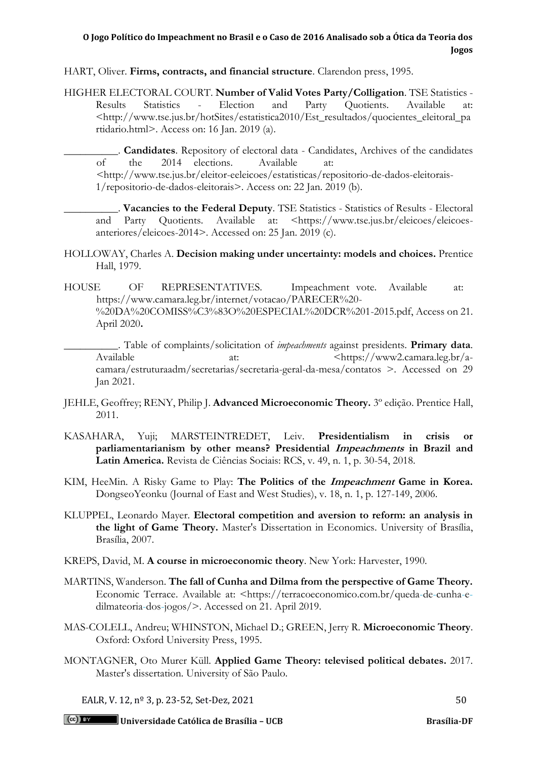HART, Oliver. **Firms, contracts, and financial structure**. Clarendon press, 1995.

- HIGHER ELECTORAL COURT. **Number of Valid Votes Party/Colligation**. TSE Statistics Results Statistics - Election and Party Quotients. Available at: <http://www.tse.jus.br/hotSites/estatistica2010/Est\_resultados/quocientes\_eleitoral\_pa rtidario.html>. Access on: 16 Jan. 2019 (a).
	- \_\_\_\_\_\_\_\_\_\_. **Candidates**. Repository of electoral data Candidates, Archives of the candidates of the 2014 elections. Available at: <http://www.tse.jus.br/eleitor-eeleicoes/estatisticas/repositorio-de-dados-eleitorais-1/repositorio-de-dados-eleitorais>. Access on: 22 Jan. 2019 (b).
		- \_\_\_\_\_\_\_\_\_\_. **Vacancies to the Federal Deputy**. TSE Statistics Statistics of Results Electoral and Party Quotients. Available at: <https://www.tse.jus.br/eleicoes/eleicoesanteriores/eleicoes-2014>. Accessed on: 25 Jan. 2019 (c).
- HOLLOWAY, Charles A. **Decision making under uncertainty: models and choices.** Prentice Hall, 1979.
- HOUSE OF REPRESENTATIVES. Impeachment vote. Available at: https://www.camara.leg.br/internet/votacao/PARECER%20- %20DA%20COMISS%C3%83O%20ESPECIAL%20DCR%201-2015.pdf, Access on 21. April 2020**.**

\_\_\_\_\_\_\_\_\_\_. Table of complaints/solicitation of *impeachments* against presidents. **Primary data**. Available at:  $\frac{1}{2}$  at:  $\frac{1}{2}$   $\frac{1}{2}$   $\frac{1}{2}$   $\frac{1}{2}$   $\frac{1}{2}$   $\frac{1}{2}$   $\frac{1}{2}$   $\frac{1}{2}$   $\frac{1}{2}$   $\frac{1}{2}$   $\frac{1}{2}$   $\frac{1}{2}$   $\frac{1}{2}$   $\frac{1}{2}$   $\frac{1}{2}$   $\frac{1}{2}$   $\frac{1}{2}$   $\frac{1}{2}$   $\frac{1}{2}$   $\frac{$ camara/estruturaadm/secretarias/secretaria-geral-da-mesa/contatos >. Accessed on 29 Jan 2021.

- JEHLE, Geoffrey; RENY, Philip J. **Advanced Microeconomic Theory.** 3º edição. Prentice Hall, 2011.
- KASAHARA, Yuji; MARSTEINTREDET, Leiv. **Presidentialism in crisis or parliamentarianism by other means? Presidential Impeachments in Brazil and Latin America.** Revista de Ciências Sociais: RCS, v. 49, n. 1, p. 30-54, 2018.
- KIM, HeeMin. A Risky Game to Play: **The Politics of the Impeachment Game in Korea.** DongseoYeonku (Journal of East and West Studies), v. 18, n. 1, p. 127-149, 2006.
- KLUPPEL, Leonardo Mayer. **Electoral competition and aversion to reform: an analysis in the light of Game Theory.** Master's Dissertation in Economics. University of Brasília, Brasília, 2007.
- KREPS, David, M. **A course in microeconomic theory**. New York: Harvester, 1990.
- MARTINS, Wanderson. **The fall of Cunha and Dilma from the perspective of Game Theory.** Economic Terrace. Available at: <https://terracoeconomico.com.br/qued[a-de-c](https://terracoeconomico.com.br/queda-de-cunha-e-dilma-teoria-dos-jogos/)unh[a-e](https://terracoeconomico.com.br/queda-de-cunha-e-dilma-teoria-dos-jogos/)dilmateori[a-d](https://terracoeconomico.com.br/queda-de-cunha-e-dilma-teoria-dos-jogos/)o[s-j](https://terracoeconomico.com.br/queda-de-cunha-e-dilma-teoria-dos-jogos/)ogos/>[.](https://terracoeconomico.com.br/queda-de-cunha-e-dilma-teoria-dos-jogos/) Accessed on 21. April 2019.
- MAS-COLELL, Andreu; WHINSTON, Michael D.; GREEN, Jerry R. **Microeconomic Theory**. Oxford: Oxford University Press, 1995.
- MONTAGNER, Oto Murer Küll. **Applied Game Theory: televised political debates.** 2017. Master's dissertation. University of São Paulo.

EALR, V. 12,  $n^{\circ}$  3, p. 23-52, Set-Dez, 2021 50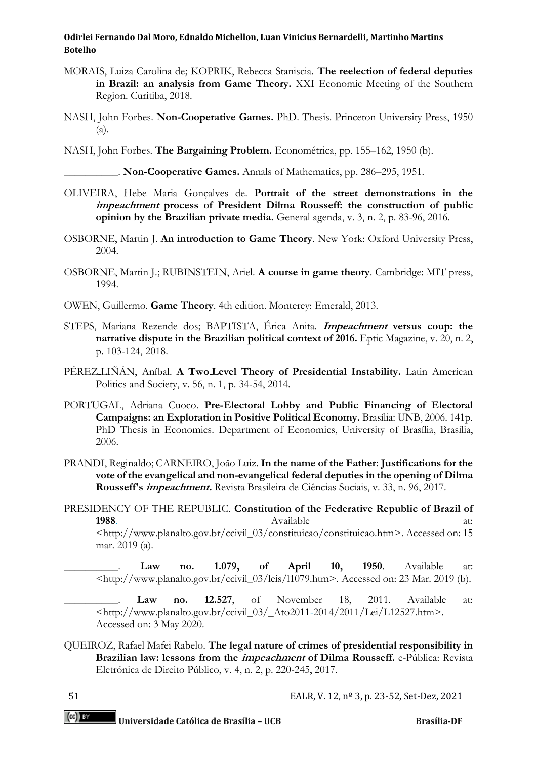- MORAIS, Luiza Carolina de; KOPRIK, Rebecca Staniscia. **The reelection of federal deputies in Brazil: an analysis from Game Theory.** XXI Economic Meeting of the Southern Region. Curitiba, 2018.
- NASH, John Forbes. **Non-Cooperative Games.** PhD. Thesis. Princeton University Press, 1950 (a).
- NASH, John Forbes. **The Bargaining Problem.** Econométrica, pp. 155–162, 1950 (b).

\_\_\_\_\_\_\_\_\_\_. **Non-Cooperative Games.** Annals of Mathematics, pp. 286–295, 1951.

- OLIVEIRA, Hebe Maria Gonçalves de. **Portrait of the street demonstrations in the impeachment process of President Dilma Rousseff: the construction of public opinion by the Brazilian private media.** General agenda, v. 3, n. 2, p. 83-96, 2016.
- OSBORNE, Martin J. **An introduction to Game Theory**. New York: Oxford University Press, 2004.
- OSBORNE, Martin J.; RUBINSTEIN, Ariel. **A course in game theory**. Cambridge: MIT press, 1994.
- OWEN, Guillermo. **Game Theory**. 4th edition. Monterey: Emerald, 2013.
- STEPS, Mariana Rezende dos; BAPTISTA, Érica Anita. **Impeachment versus coup: the narrative dispute in the Brazilian political context of 2016.** Eptic Magazine, v. 20, n. 2, p. 103-124, 2018.
- PÉREZ LIÑÁN, Aníbal. **A Two Level Theory of Presidential Instability.** Latin American Politics and Society, v. 56, n. 1, p. 34-54, 2014.
- PORTUGAL, Adriana Cuoco. **Pre-Electoral Lobby and Public Financing of Electoral Campaigns: an Exploration in Positive Political Economy.** Brasília: UNB, 2006. 141p. PhD Thesis in Economics. Department of Economics, University of Brasília, Brasília, 2006.
- PRANDI, Reginaldo; CARNEIRO, João Luiz. **In the name of the Father: Justifications for the vote of the evangelical and non-evangelical federal deputies in the opening of Dilma Rousseff's impeachment.** Revista Brasileira de Ciências Sociais, v. 33, n. 96, 2017.

PRESIDENCY OF THE REPUBLIC. **Constitution of the Federative Republic of Brazil of 1988**[.](https://legislacao.planalto.gov.br/legisla/legislacao.nsf/viwTodos/509f2321d97cd2d203256b280052245a?OpenDocument&Highlight=1,constitui%C3%A7%C3%A3o&AutoFramed) Available at: <http://www.planalto.gov.br/ccivil\_03/constituicao/constituicao.htm>. Accessed on: 15 mar. 2019 (a).

\_\_\_\_\_\_\_\_\_\_. **Law no. 1.079, of April 10, 1950**. Available at: <http://www.planalto.gov.br/ccivil\_03/leis/l1079.htm>. [A](http://www.planalto.gov.br/ccivil_03/leis/l1079.htm)ccessed on: 23 Mar. 2019 (b).

\_\_\_\_\_\_\_\_\_\_. **Law no. 12.527**, of November 18, 2011. Available at: <http://www.planalto.gov.br/ccivil\_03/\_Ato201[1-2](http://www.planalto.gov.br/ccivil_03/_Ato2011-2014/2011/Lei/L12527.htm)014/2011/Lei/L12527.htm>[.](http://www.planalto.gov.br/ccivil_03/_Ato2011-2014/2011/Lei/L12527.htm) Accessed on: 3 May 2020.

QUEIROZ, Rafael Mafei Rabelo. **The legal nature of crimes of presidential responsibility in Brazilian law: lessons from the impeachment of Dilma Rousseff.** e-Pública: Revista Eletrónica de Direito Público, v. 4, n. 2, p. 220-245, 2017.